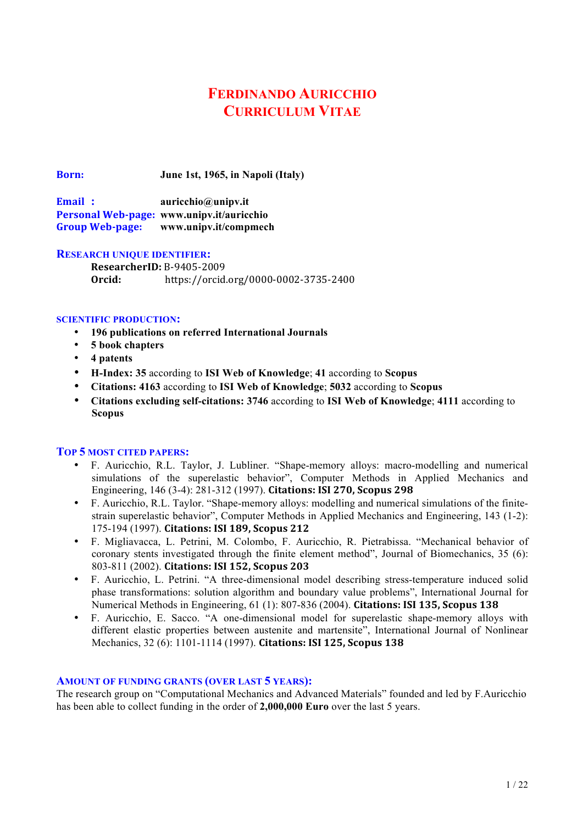# **FERDINANDO AURICCHIO CURRICULUM VITAE**

**Born: June 1st, 1965, in Napoli (Italy)**

**Email : auricchio@unipv.it Personal Web-page: www.unipv.it/auricchio Group Web-page: www.unipv.it/compmech**

## **RESEARCH UNIQUE IDENTIFIER:**

**ResearcherID: B-9405-2009 Orcid:** https://orcid.org/0000-0002-3735-2400

## **SCIENTIFIC PRODUCTION:**

- **196 publications on referred International Journals**
- **5 book chapters**
- **4 patents**
- **H-Index: 35** according to **ISI Web of Knowledge**; **41** according to **Scopus**
- **Citations: 4163** according to **ISI Web of Knowledge**; **5032** according to **Scopus**
- **Citations excluding self-citations: 3746** according to **ISI Web of Knowledge**; **4111** according to **Scopus**

# **TOP 5 MOST CITED PAPERS:**

- F. Auricchio, R.L. Taylor, J. Lubliner. "Shape-memory alloys: macro-modelling and numerical simulations of the superelastic behavior", Computer Methods in Applied Mechanics and Engineering, 146 (3-4): 281-312 (1997). **Citations: ISI 270, Scopus 298**
- F. Auricchio, R.L. Taylor. "Shape-memory alloys: modelling and numerical simulations of the finitestrain superelastic behavior", Computer Methods in Applied Mechanics and Engineering, 143 (1-2): 175-194 (1997). Citations: ISI 189, Scopus 212
- F. Migliavacca, L. Petrini, M. Colombo, F. Auricchio, R. Pietrabissa. "Mechanical behavior of coronary stents investigated through the finite element method", Journal of Biomechanics, 35 (6): 803-811 (2002). **Citations: ISI 152, Scopus 203**
- F. Auricchio, L. Petrini. "A three-dimensional model describing stress-temperature induced solid phase transformations: solution algorithm and boundary value problems", International Journal for Numerical Methods in Engineering, 61 (1): 807-836 (2004). **Citations: ISI 135, Scopus 138**
- F. Auricchio, E. Sacco. "A one-dimensional model for superelastic shape-memory alloys with different elastic properties between austenite and martensite", International Journal of Nonlinear Mechanics, 32 (6): 1101-1114 (1997). **Citations: ISI 125, Scopus 138**

## **AMOUNT OF FUNDING GRANTS (OVER LAST 5 YEARS):**

The research group on "Computational Mechanics and Advanced Materials" founded and led by F.Auricchio has been able to collect funding in the order of **2,000,000 Euro** over the last 5 years.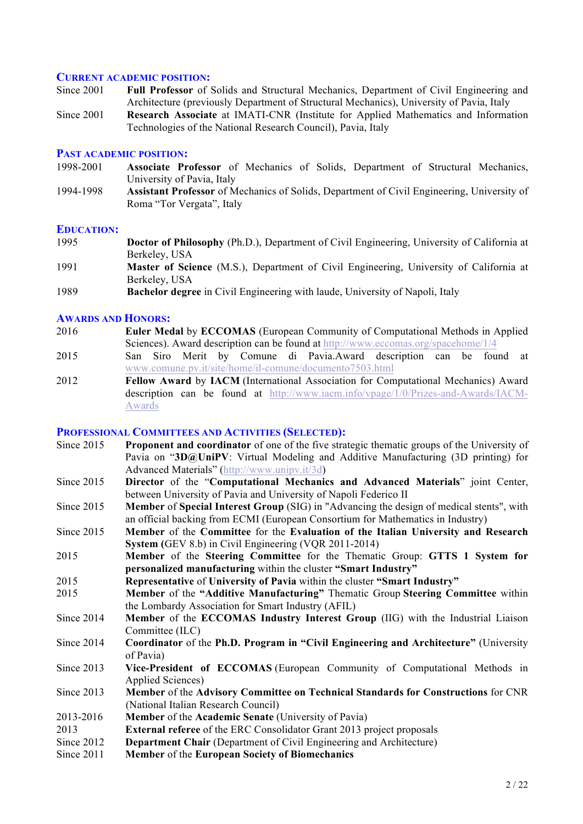#### **CURRENT ACADEMIC POSITION:**

- Since 2001 **Full Professor** of Solids and Structural Mechanics, Department of Civil Engineering and Architecture (previously Department of Structural Mechanics), University of Pavia, Italy
- Since 2001 **Research Associate** at IMATI-CNR (Institute for Applied Mathematics and Information Technologies of the National Research Council), Pavia, Italy

#### **PAST ACADEMIC POSITION:**

- 1998-2001 **Associate Professor** of Mechanics of Solids, Department of Structural Mechanics, University of Pavia, Italy
- 1994-1998 **Assistant Professor** of Mechanics of Solids, Department of Civil Engineering, University of Roma "Tor Vergata", Italy

#### **EDUCATION:**

- 1995 **Doctor of Philosophy** (Ph.D.), Department of Civil Engineering, University of California at Berkeley, USA
- 1991 **Master of Science** (M.S.), Department of Civil Engineering, University of California at Berkeley, USA
- 1989 **Bachelor degree** in Civil Engineering with laude, University of Napoli, Italy

#### **AWARDS AND HONORS:**

- 2016 **Euler Medal** by **ECCOMAS** (European Community of Computational Methods in Applied Sciences). Award description can be found at http://www.eccomas.org/spacehome/1/4
- 2015 San Siro Merit by Comune di Pavia.Award description can be found at www.comune.pv.it/site/home/il-comune/documento7503.html
- 2012 **Fellow Award** by **IACM** (International Association for Computational Mechanics) Award description can be found at http://www.iacm.info/vpage/1/0/Prizes-and-Awards/IACM-Awards

#### **PROFESSIONAL COMMITTEES AND ACTIVITIES (SELECTED):**

| Since 2015 | <b>Proponent and coordinator</b> of one of the five strategic thematic groups of the University of                                                                                 |
|------------|------------------------------------------------------------------------------------------------------------------------------------------------------------------------------------|
|            | Pavia on "3D@UniPV: Virtual Modeling and Additive Manufacturing (3D printing) for<br>Advanced Materials" (http://www.unipv.it/3d)                                                  |
| Since 2015 | Director of the "Computational Mechanics and Advanced Materials" joint Center,                                                                                                     |
|            | between University of Pavia and University of Napoli Federico II                                                                                                                   |
| Since 2015 | <b>Member of Special Interest Group</b> (SIG) in "Advancing the design of medical stents", with<br>an official backing from ECMI (European Consortium for Mathematics in Industry) |
| Since 2015 | Member of the Committee for the Evaluation of the Italian University and Research                                                                                                  |
|            | System (GEV 8.b) in Civil Engineering (VQR 2011-2014)                                                                                                                              |
| 2015       | Member of the Steering Committee for the Thematic Group: GTTS 1 System for                                                                                                         |
|            | personalized manufacturing within the cluster "Smart Industry"                                                                                                                     |
| 2015       | Representative of University of Pavia within the cluster "Smart Industry"                                                                                                          |
| 2015       | Member of the "Additive Manufacturing" Thematic Group Steering Committee within                                                                                                    |
|            | the Lombardy Association for Smart Industry (AFIL)                                                                                                                                 |
| Since 2014 | Member of the ECCOMAS Industry Interest Group (IIG) with the Industrial Liaison                                                                                                    |
|            | Committee (ILC)                                                                                                                                                                    |
| Since 2014 | Coordinator of the Ph.D. Program in "Civil Engineering and Architecture" (University<br>of Pavia)                                                                                  |
| Since 2013 | Vice-President of ECCOMAS (European Community of Computational Methods in<br><b>Applied Sciences)</b>                                                                              |
| Since 2013 | Member of the Advisory Committee on Technical Standards for Constructions for CNR                                                                                                  |
|            | (National Italian Research Council)                                                                                                                                                |
| 2013-2016  | <b>Member</b> of the Academic Senate (University of Pavia)                                                                                                                         |
| 2013       | <b>External referee</b> of the ERC Consolidator Grant 2013 project proposals                                                                                                       |
| Since 2012 | Department Chair (Department of Civil Engineering and Architecture)                                                                                                                |
| Since 2011 | Member of the European Society of Biomechanics                                                                                                                                     |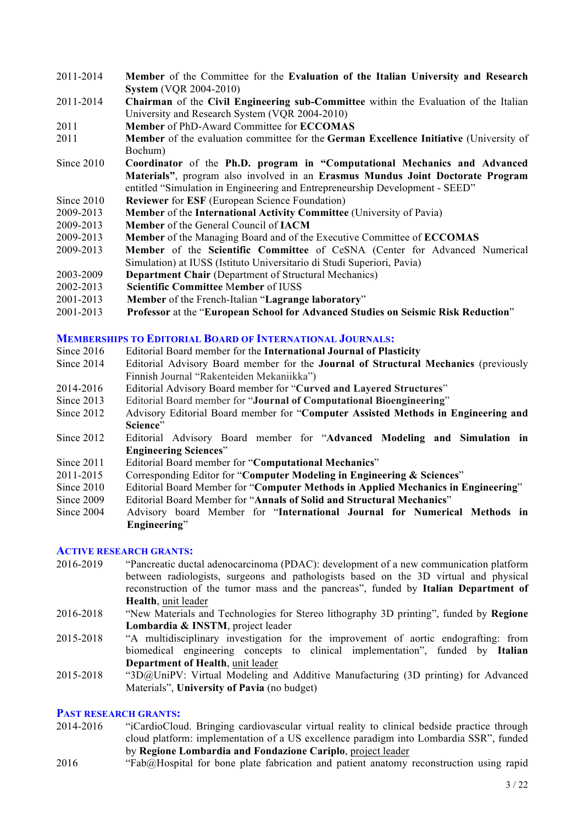- 2011-2014 **Member** of the Committee for the **Evaluation of the Italian University and Research System** (VQR 2004-2010)
- 2011-2014 **Chairman** of the **Civil Engineering sub-Committee** within the Evaluation of the Italian University and Research System (VQR 2004-2010)
- 2011 **Member** of PhD-Award Committee for **ECCOMAS**
- 2011 **Member** of the evaluation committee for the **German Excellence Initiative** (University of Bochum)
- Since 2010 **Coordinator** of the **Ph.D. program in "Computational Mechanics and Advanced Materials"**, program also involved in an **Erasmus Mundus Joint Doctorate Program** entitled "Simulation in Engineering and Entrepreneurship Development - SEED"
- Since 2010 **Reviewer** for **ESF** (European Science Foundation)
- 2009-2013 **Member** of the **International Activity Committee** (University of Pavia)
- 2009-2013 **Member** of the General Council of **IACM**
- 2009-2013 **Member** of the Managing Board and of the Executive Committee of **ECCOMAS**
- 2009-2013 **Member** of the **Scientific Committee** of CeSNA (Center for Advanced Numerical Simulation) at IUSS (Istituto Universitario di Studi Superiori, Pavia)
- 2003-2009 **Department Chair** (Department of Structural Mechanics)
- 2002-2013 **Scientific Committee** M**ember** of IUSS
- 2001-2013 **Member** of the French-Italian "**Lagrange laboratory**"
- 2001-2013 **Professor** at the "**European School for Advanced Studies on Seismic Risk Reduction**"

#### **MEMBERSHIPS TO EDITORIAL BOARD OF INTERNATIONAL JOURNALS:**

- Since 2016 Editorial Board member for the **International Journal of Plasticity**
- Since 2014 Editorial Advisory Board member for the **Journal of Structural Mechanics** (previously Finnish Journal "Rakenteiden Mekaniikka")
- 2014-2016 Editorial Advisory Board member for "**Curved and Layered Structures**"
- Since 2013 Editorial Board member for "**Journal of Computational Bioengineering**"
- Since 2012 Advisory Editorial Board member for "**Computer Assisted Methods in Engineering and**  Science"<sup></sup>
- Since 2012 Editorial Advisory Board member for "**Advanced Modeling and Simulation in Engineering Sciences**"
- Since 2011 Editorial Board member for "**Computational Mechanics**"
- 2011-2015 Corresponding Editor for "**Computer Modeling in Engineering & Sciences**"
- Since 2010 Editorial Board Member for "**Computer Methods in Applied Mechanics in Engineering**"
- Since 2009 Editorial Board Member for "**Annals of Solid and Structural Mechanics**"
- Since 2004 Advisory board Member for "**International Journal for Numerical Methods in Engineering**"

## **ACTIVE RESEARCH GRANTS:**

- 2016-2019 "Pancreatic ductal adenocarcinoma (PDAC): development of a new communication platform between radiologists, surgeons and pathologists based on the 3D virtual and physical reconstruction of the tumor mass and the pancreas", funded by **Italian Department of Health**, unit leader
- 2016-2018 "New Materials and Technologies for Stereo lithography 3D printing", funded by **Regione Lombardia & INSTM**, project leader
- 2015-2018 "A multidisciplinary investigation for the improvement of aortic endografting: from biomedical engineering concepts to clinical implementation", funded by **Italian Department of Health**, unit leader
- 2015-2018 "3D@UniPV: Virtual Modeling and Additive Manufacturing (3D printing) for Advanced Materials", **University of Pavia** (no budget)

## **PAST RESEARCH GRANTS:**

- 2014-2016 "iCardioCloud. Bringing cardiovascular virtual reality to clinical bedside practice through cloud platform: implementation of a US excellence paradigm into Lombardia SSR", funded by **Regione Lombardia and Fondazione Cariplo**, project leader
- 2016 "Fab@Hospital for bone plate fabrication and patient anatomy reconstruction using rapid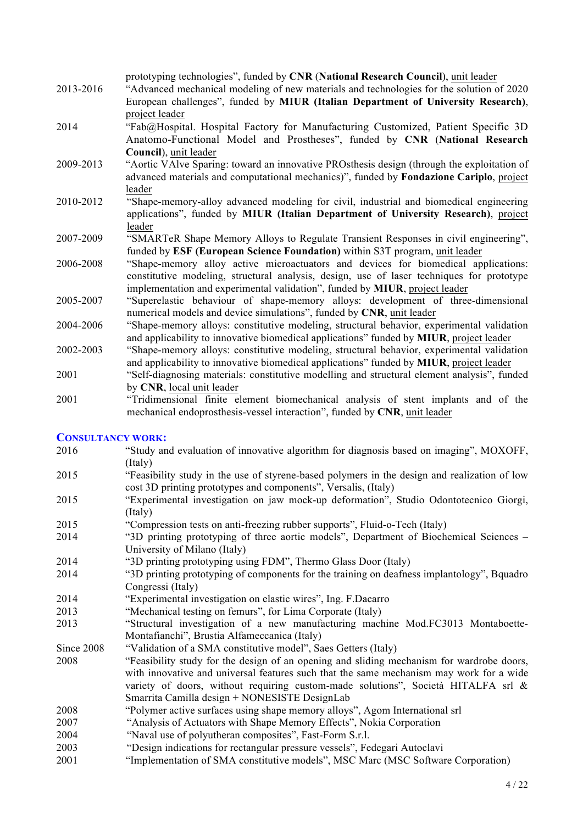|           | prototyping technologies", funded by CNR (National Research Council), unit leader               |
|-----------|-------------------------------------------------------------------------------------------------|
| 2013-2016 | "Advanced mechanical modeling of new materials and technologies for the solution of 2020        |
|           | European challenges", funded by MIUR (Italian Department of University Research),               |
|           | project leader                                                                                  |
| 2014      | "Fab@Hospital. Hospital Factory for Manufacturing Customized, Patient Specific 3D               |
|           | Anatomo-Functional Model and Prostheses", funded by CNR (National Research                      |
|           | Council), unit leader                                                                           |
| 2009-2013 | "Aortic VAIve Sparing: toward an innovative PROsthesis design (through the exploitation of      |
|           | advanced materials and computational mechanics)", funded by Fondazione Cariplo, project         |
|           | leader                                                                                          |
| 2010-2012 | "Shape-memory-alloy advanced modeling for civil, industrial and biomedical engineering          |
|           | applications", funded by MIUR (Italian Department of University Research), project              |
|           | leader                                                                                          |
| 2007-2009 | "SMARTER Shape Memory Alloys to Regulate Transient Responses in civil engineering",             |
|           | funded by ESF (European Science Foundation) within S3T program, unit leader                     |
| 2006-2008 | "Shape-memory alloy active microactuators and devices for biomedical applications:              |
|           | constitutive modeling, structural analysis, design, use of laser techniques for prototype       |
|           | implementation and experimental validation", funded by <b>MIUR</b> , project leader             |
| 2005-2007 | "Superelastic behaviour of shape-memory alloys: development of three-dimensional                |
|           | numerical models and device simulations", funded by CNR, unit leader                            |
| 2004-2006 | "Shape-memory alloys: constitutive modeling, structural behavior, experimental validation       |
|           | and applicability to innovative biomedical applications" funded by <b>MIUR</b> , project leader |
| 2002-2003 | "Shape-memory alloys: constitutive modeling, structural behavior, experimental validation       |
|           | and applicability to innovative biomedical applications" funded by MIUR, project leader         |

- 2001 "Self-diagnosing materials: constitutive modelling and structural element analysis", funded by **CNR**, local unit leader
- 2001 "Tridimensional finite element biomechanical analysis of stent implants and of the mechanical endoprosthesis-vessel interaction", funded by **CNR**, unit leader

## **CONSULTANCY WORK:**

- 2016 "Study and evaluation of innovative algorithm for diagnosis based on imaging", MOXOFF, (Italy) 2015 "Feasibility study in the use of styrene-based polymers in the design and realization of low cost 3D printing prototypes and components", Versalis, (Italy) 2015 "Experimental investigation on jaw mock-up deformation", Studio Odontotecnico Giorgi, (Italy) 2015 "Compression tests on anti-freezing rubber supports", Fluid-o-Tech (Italy) 2014 "3D printing prototyping of three aortic models", Department of Biochemical Sciences – University of Milano (Italy) 2014 "3D printing prototyping using FDM", Thermo Glass Door (Italy) 2014 "3D printing prototyping of components for the training on deafness implantology", Bquadro Congressi (Italy) 2014 "Experimental investigation on elastic wires", Ing. F.Dacarro 2013 "Mechanical testing on femurs", for Lima Corporate (Italy) 2013 "Structural investigation of a new manufacturing machine Mod.FC3013 Montaboette-Montafianchi", Brustia Alfameccanica (Italy) Since 2008 "Validation of a SMA constitutive model", Saes Getters (Italy) 2008 "Feasibility study for the design of an opening and sliding mechanism for wardrobe doors, with innovative and universal features such that the same mechanism may work for a wide variety of doors, without requiring custom-made solutions", Società HITALFA srl & Smarrita Camilla design + NONESISTE DesignLab 2008 "Polymer active surfaces using shape memory alloys", Agom International srl 2007 "Analysis of Actuators with Shape Memory Effects", Nokia Corporation 2004 "Naval use of polyutheran composites", Fast-Form S.r.l. 2003 "Design indications for rectangular pressure vessels", Fedegari Autoclavi
- 2001 "Implementation of SMA constitutive models", MSC Marc (MSC Software Corporation)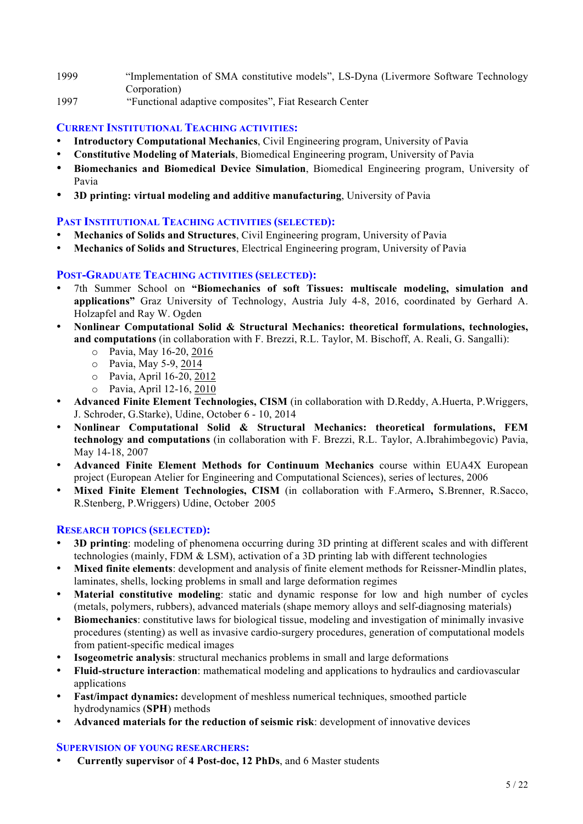- 1999 "Implementation of SMA constitutive models", LS-Dyna (Livermore Software Technology Corporation)
- 1997 "Functional adaptive composites", Fiat Research Center

# **CURRENT INSTITUTIONAL TEACHING ACTIVITIES:**

- **Introductory Computational Mechanics**, Civil Engineering program, University of Pavia
- **Constitutive Modeling of Materials**, Biomedical Engineering program, University of Pavia
- **Biomechanics and Biomedical Device Simulation**, Biomedical Engineering program, University of Pavia
- **3D printing: virtual modeling and additive manufacturing**, University of Pavia

# **PAST INSTITUTIONAL TEACHING ACTIVITIES (SELECTED):**

- **Mechanics of Solids and Structures**, Civil Engineering program, University of Pavia
- **Mechanics of Solids and Structures**, Electrical Engineering program, University of Pavia

# **POST-GRADUATE TEACHING ACTIVITIES (SELECTED):**

- 7th Summer School on **"Biomechanics of soft Tissues: multiscale modeling, simulation and applications"** Graz University of Technology, Austria July 4-8, 2016, coordinated by Gerhard A. Holzapfel and Ray W. Ogden
- **Nonlinear Computational Solid & Structural Mechanics: theoretical formulations, technologies, and computations** (in collaboration with F. Brezzi, R.L. Taylor, M. Bischoff, A. Reali, G. Sangalli):
	- o Pavia, May 16-20, 2016
	- o Pavia, May 5-9, 2014
	- o Pavia, April 16-20, 2012
	- o Pavia, April 12-16, 2010
- **Advanced Finite Element Technologies, CISM** (in collaboration with D.Reddy, A.Huerta, P.Wriggers, J. Schroder, G.Starke), Udine, October 6 - 10, 2014
- **Nonlinear Computational Solid & Structural Mechanics: theoretical formulations, FEM technology and computations** (in collaboration with F. Brezzi, R.L. Taylor, A.Ibrahimbegovic) Pavia, May 14-18, 2007
- **Advanced Finite Element Methods for Continuum Mechanics** course within EUA4X European project (European Atelier for Engineering and Computational Sciences), series of lectures, 2006
- **Mixed Finite Element Technologies, CISM** (in collaboration with F.Armero**,** S.Brenner, R.Sacco, R.Stenberg, P.Wriggers) Udine, October 2005

# **RESEARCH TOPICS (SELECTED):**

- **3D printing**: modeling of phenomena occurring during 3D printing at different scales and with different technologies (mainly, FDM & LSM), activation of a 3D printing lab with different technologies
- **Mixed finite elements**: development and analysis of finite element methods for Reissner-Mindlin plates, laminates, shells, locking problems in small and large deformation regimes
- **Material constitutive modeling**: static and dynamic response for low and high number of cycles (metals, polymers, rubbers), advanced materials (shape memory alloys and self-diagnosing materials)
- **Biomechanics**: constitutive laws for biological tissue, modeling and investigation of minimally invasive procedures (stenting) as well as invasive cardio-surgery procedures, generation of computational models from patient-specific medical images
- **Isogeometric analysis**: structural mechanics problems in small and large deformations
- **Fluid-structure interaction**: mathematical modeling and applications to hydraulics and cardiovascular applications
- **Fast/impact dynamics:** development of meshless numerical techniques, smoothed particle hydrodynamics (**SPH**) methods
- **Advanced materials for the reduction of seismic risk**: development of innovative devices

# **SUPERVISION OF YOUNG RESEARCHERS:**

• **Currently supervisor** of **4 Post-doc, 12 PhDs**, and 6 Master students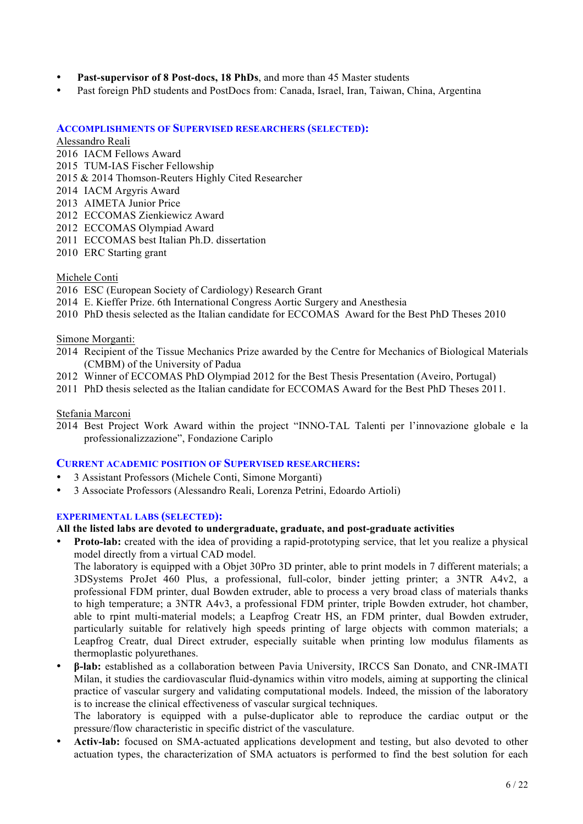- **Past-supervisor of 8 Post-docs, 18 PhDs**, and more than 45 Master students
- Past foreign PhD students and PostDocs from: Canada, Israel, Iran, Taiwan, China, Argentina

## **ACCOMPLISHMENTS OF SUPERVISED RESEARCHERS (SELECTED):**

## Alessandro Reali

- 2016 IACM Fellows Award
- 2015 TUM-IAS Fischer Fellowship
- 2015 & 2014 Thomson-Reuters Highly Cited Researcher
- 2014 IACM Argyris Award
- 2013 AIMETA Junior Price
- 2012 ECCOMAS Zienkiewicz Award
- 2012 ECCOMAS Olympiad Award
- 2011 ECCOMAS best Italian Ph.D. dissertation
- 2010 ERC Starting grant

## Michele Conti

- 2016 ESC (European Society of Cardiology) Research Grant
- 2014 E. Kieffer Prize. 6th International Congress Aortic Surgery and Anesthesia
- 2010 PhD thesis selected as the Italian candidate for ECCOMAS Award for the Best PhD Theses 2010

## Simone Morganti:

- 2014 Recipient of the Tissue Mechanics Prize awarded by the Centre for Mechanics of Biological Materials (CMBM) of the University of Padua
- 2012 Winner of ECCOMAS PhD Olympiad 2012 for the Best Thesis Presentation (Aveiro, Portugal)
- 2011 PhD thesis selected as the Italian candidate for ECCOMAS Award for the Best PhD Theses 2011.

## Stefania Marconi

2014 Best Project Work Award within the project "INNO-TAL Talenti per l'innovazione globale e la professionalizzazione", Fondazione Cariplo

## **CURRENT ACADEMIC POSITION OF SUPERVISED RESEARCHERS:**

- 3 Assistant Professors (Michele Conti, Simone Morganti)
- 3 Associate Professors (Alessandro Reali, Lorenza Petrini, Edoardo Artioli)

## **EXPERIMENTAL LABS (SELECTED):**

## **All the listed labs are devoted to undergraduate, graduate, and post-graduate activities**

• **Proto-lab:** created with the idea of providing a rapid-prototyping service, that let you realize a physical model directly from a virtual CAD model.

The laboratory is equipped with a Objet 30Pro 3D printer, able to print models in 7 different materials; a 3DSystems ProJet 460 Plus, a professional, full-color, binder jetting printer; a 3NTR A4v2, a professional FDM printer, dual Bowden extruder, able to process a very broad class of materials thanks to high temperature; a 3NTR A4v3, a professional FDM printer, triple Bowden extruder, hot chamber, able to rpint multi-material models; a Leapfrog Creatr HS, an FDM printer, dual Bowden extruder, particularly suitable for relatively high speeds printing of large objects with common materials; a Leapfrog Creatr, dual Direct extruder, especially suitable when printing low modulus filaments as thermoplastic polyurethanes.

• **β-lab:** established as a collaboration between Pavia University, IRCCS San Donato, and CNR-IMATI Milan, it studies the cardiovascular fluid-dynamics within vitro models, aiming at supporting the clinical practice of vascular surgery and validating computational models. Indeed, the mission of the laboratory is to increase the clinical effectiveness of vascular surgical techniques.

The laboratory is equipped with a pulse-duplicator able to reproduce the cardiac output or the pressure/flow characteristic in specific district of the vasculature.

• **Activ-lab:** focused on SMA-actuated applications development and testing, but also devoted to other actuation types, the characterization of SMA actuators is performed to find the best solution for each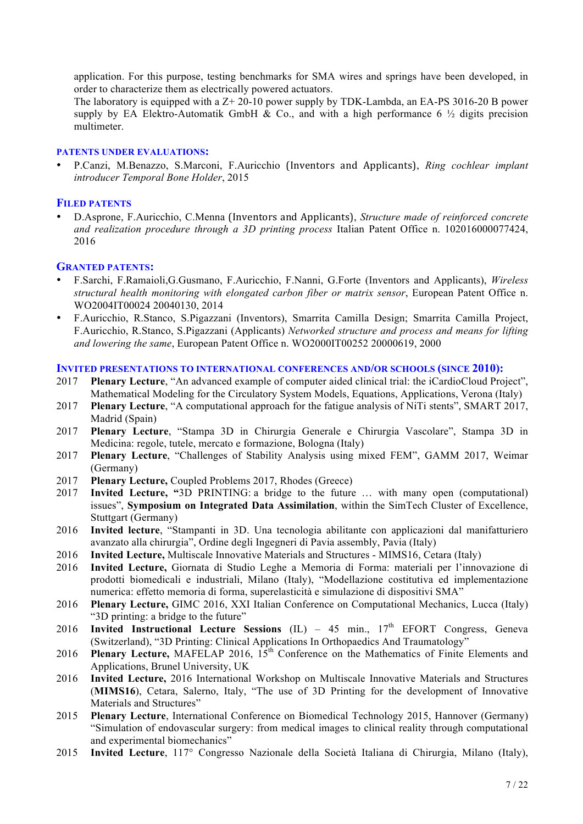application. For this purpose, testing benchmarks for SMA wires and springs have been developed, in order to characterize them as electrically powered actuators.

The laboratory is equipped with a Z+ 20-10 power supply by TDK-Lambda, an EA-PS 3016-20 B power supply by EA Elektro-Automatik GmbH  $\&$  Co., and with a high performance 6  $\frac{1}{2}$  digits precision multimeter.

#### **PATENTS UNDER EVALUATIONS:**

• P.Canzi, M.Benazzo, S.Marconi, F.Auricchio (Inventors and Applicants), *Ring cochlear implant introducer Temporal Bone Holder*, 2015

#### **FILED PATENTS**

• D.Asprone, F.Auricchio, C.Menna (Inventors and Applicants), *Structure made of reinforced concrete and realization procedure through a 3D printing process* Italian Patent Office n. 102016000077424, 2016

## **GRANTED PATENTS:**

- F.Sarchi, F.Ramaioli,G.Gusmano, F.Auricchio, F.Nanni, G.Forte (Inventors and Applicants), *Wireless structural health monitoring with elongated carbon fiber or matrix sensor*, European Patent Office n. WO2004IT00024 20040130, 2014
- F.Auricchio, R.Stanco, S.Pigazzani (Inventors), Smarrita Camilla Design; Smarrita Camilla Project, F.Auricchio, R.Stanco, S.Pigazzani (Applicants) *Networked structure and process and means for lifting and lowering the same*, European Patent Office n. WO2000IT00252 20000619, 2000

#### **INVITED PRESENTATIONS TO INTERNATIONAL CONFERENCES AND/OR SCHOOLS (SINCE 2010):**

- 2017 **Plenary Lecture**, "An advanced example of computer aided clinical trial: the iCardioCloud Project", Mathematical Modeling for the Circulatory System Models, Equations, Applications, Verona (Italy)
- 2017 **Plenary Lecture**, "A computational approach for the fatigue analysis of NiTi stents", SMART 2017, Madrid (Spain)
- 2017 **Plenary Lecture**, "Stampa 3D in Chirurgia Generale e Chirurgia Vascolare", Stampa 3D in Medicina: regole, tutele, mercato e formazione, Bologna (Italy)
- 2017 **Plenary Lecture**, "Challenges of Stability Analysis using mixed FEM", GAMM 2017, Weimar (Germany)
- 2017 **Plenary Lecture,** Coupled Problems 2017, Rhodes (Greece)
- 2017 **Invited Lecture, "**3D PRINTING: a bridge to the future … with many open (computational) issues", **Symposium on Integrated Data Assimilation**, within the SimTech Cluster of Excellence, Stuttgart (Germany)
- 2016 **Invited lecture**, "Stampanti in 3D. Una tecnologia abilitante con applicazioni dal manifatturiero avanzato alla chirurgia", Ordine degli Ingegneri di Pavia assembly, Pavia (Italy)
- 2016 **Invited Lecture,** Multiscale Innovative Materials and Structures MIMS16, Cetara (Italy)
- 2016 **Invited Lecture,** Giornata di Studio Leghe a Memoria di Forma: materiali per l'innovazione di prodotti biomedicali e industriali, Milano (Italy), "Modellazione costitutiva ed implementazione numerica: effetto memoria di forma, superelasticità e simulazione di dispositivi SMA"
- 2016 **Plenary Lecture,** GIMC 2016, XXI Italian Conference on Computational Mechanics, Lucca (Italy) "3D printing: a bridge to the future"
- 2016 **Invited Instructional Lecture Sessions** (IL) 45 min., 17th EFORT Congress, Geneva (Switzerland), "3D Printing: Clinical Applications In Orthopaedics And Traumatology"
- 2016 **Plenary Lecture,** MAFELAP 2016, 15th Conference on the Mathematics of Finite Elements and Applications, Brunel University, UK
- 2016 **Invited Lecture,** 2016 International Workshop on Multiscale Innovative Materials and Structures (**MIMS16**), Cetara, Salerno, Italy, "The use of 3D Printing for the development of Innovative Materials and Structures"
- 2015 **Plenary Lecture**, International Conference on Biomedical Technology 2015, Hannover (Germany) "Simulation of endovascular surgery: from medical images to clinical reality through computational and experimental biomechanics"
- 2015 **Invited Lecture**, 117° Congresso Nazionale della Società Italiana di Chirurgia, Milano (Italy),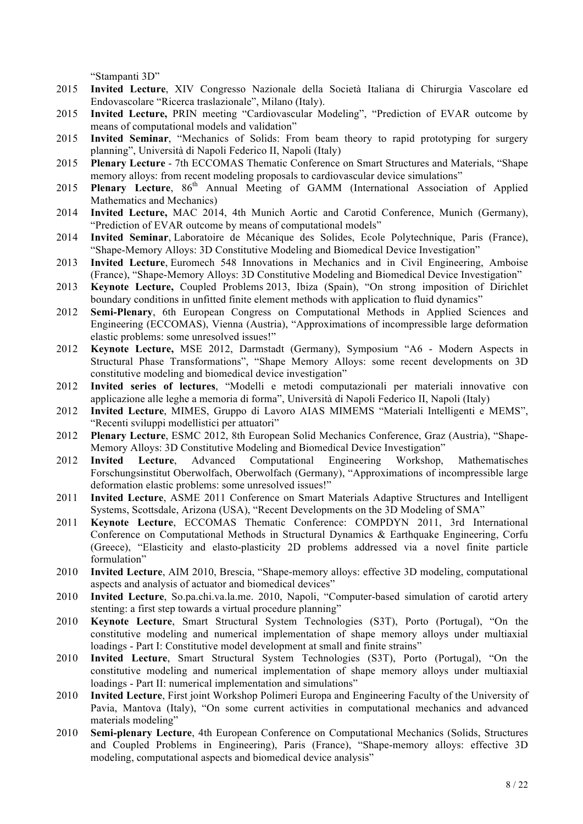"Stampanti 3D"

- 2015 **Invited Lecture**, XIV Congresso Nazionale della Società Italiana di Chirurgia Vascolare ed Endovascolare "Ricerca traslazionale", Milano (Italy).
- 2015 **Invited Lecture,** PRIN meeting "Cardiovascular Modeling", "Prediction of EVAR outcome by means of computational models and validation"
- 2015 **Invited Seminar**, "Mechanics of Solids: From beam theory to rapid prototyping for surgery planning", Università di Napoli Federico II, Napoli (Italy)
- 2015 **Plenary Lecture** 7th ECCOMAS Thematic Conference on Smart Structures and Materials, "Shape memory alloys: from recent modeling proposals to cardiovascular device simulations"
- 2015 **Plenary Lecture**, 86<sup>th</sup> Annual Meeting of GAMM (International Association of Applied Mathematics and Mechanics)
- 2014 **Invited Lecture,** MAC 2014, 4th Munich Aortic and Carotid Conference, Munich (Germany), "Prediction of EVAR outcome by means of computational models"
- 2014 **Invited Seminar**, Laboratoire de Mécanique des Solides, Ecole Polytechnique, Paris (France), "Shape-Memory Alloys: 3D Constitutive Modeling and Biomedical Device Investigation"
- 2013 **Invited Lecture**, Euromech 548 Innovations in Mechanics and in Civil Engineering, Amboise (France), "Shape-Memory Alloys: 3D Constitutive Modeling and Biomedical Device Investigation"
- 2013 **Keynote Lecture,** Coupled Problems 2013, Ibiza (Spain), "On strong imposition of Dirichlet boundary conditions in unfitted finite element methods with application to fluid dynamics"
- 2012 **Semi-Plenary**, 6th European Congress on Computational Methods in Applied Sciences and Engineering (ECCOMAS), Vienna (Austria), "Approximations of incompressible large deformation elastic problems: some unresolved issues!"
- 2012 **Keynote Lecture,** MSE 2012, Darmstadt (Germany), Symposium "A6 Modern Aspects in Structural Phase Transformations", "Shape Memory Alloys: some recent developments on 3D constitutive modeling and biomedical device investigation"
- 2012 **Invited series of lectures**, "Modelli e metodi computazionali per materiali innovative con applicazione alle leghe a memoria di forma", Università di Napoli Federico II, Napoli (Italy)
- 2012 **Invited Lecture**, MIMES, Gruppo di Lavoro AIAS MIMEMS "Materiali Intelligenti e MEMS", "Recenti sviluppi modellistici per attuatori"
- 2012 **Plenary Lecture**, ESMC 2012, 8th European Solid Mechanics Conference, Graz (Austria), "Shape-Memory Alloys: 3D Constitutive Modeling and Biomedical Device Investigation"
- 2012 **Invited Lecture**, Advanced Computational Engineering Workshop, Mathematisches Forschungsinstitut Oberwolfach, Oberwolfach (Germany), "Approximations of incompressible large deformation elastic problems: some unresolved issues!"
- 2011 **Invited Lecture**, ASME 2011 Conference on Smart Materials Adaptive Structures and Intelligent Systems, Scottsdale, Arizona (USA), "Recent Developments on the 3D Modeling of SMA"
- 2011 **Keynote Lecture**, ECCOMAS Thematic Conference: COMPDYN 2011, 3rd International Conference on Computational Methods in Structural Dynamics & Earthquake Engineering, Corfu (Greece), "Elasticity and elasto-plasticity 2D problems addressed via a novel finite particle formulation"
- 2010 **Invited Lecture**, AIM 2010, Brescia, "Shape-memory alloys: effective 3D modeling, computational aspects and analysis of actuator and biomedical devices"
- 2010 **Invited Lecture**, So.pa.chi.va.la.me. 2010, Napoli, "Computer-based simulation of carotid artery stenting: a first step towards a virtual procedure planning"
- 2010 **Keynote Lecture**, Smart Structural System Technologies (S3T), Porto (Portugal), "On the constitutive modeling and numerical implementation of shape memory alloys under multiaxial loadings - Part I: Constitutive model development at small and finite strains"
- 2010 **Invited Lecture**, Smart Structural System Technologies (S3T), Porto (Portugal), "On the constitutive modeling and numerical implementation of shape memory alloys under multiaxial loadings - Part II: numerical implementation and simulations"
- 2010 **Invited Lecture**, First joint Workshop Polimeri Europa and Engineering Faculty of the University of Pavia, Mantova (Italy), "On some current activities in computational mechanics and advanced materials modeling"
- 2010 **Semi-plenary Lecture**, 4th European Conference on Computational Mechanics (Solids, Structures and Coupled Problems in Engineering), Paris (France), "Shape-memory alloys: effective 3D modeling, computational aspects and biomedical device analysis"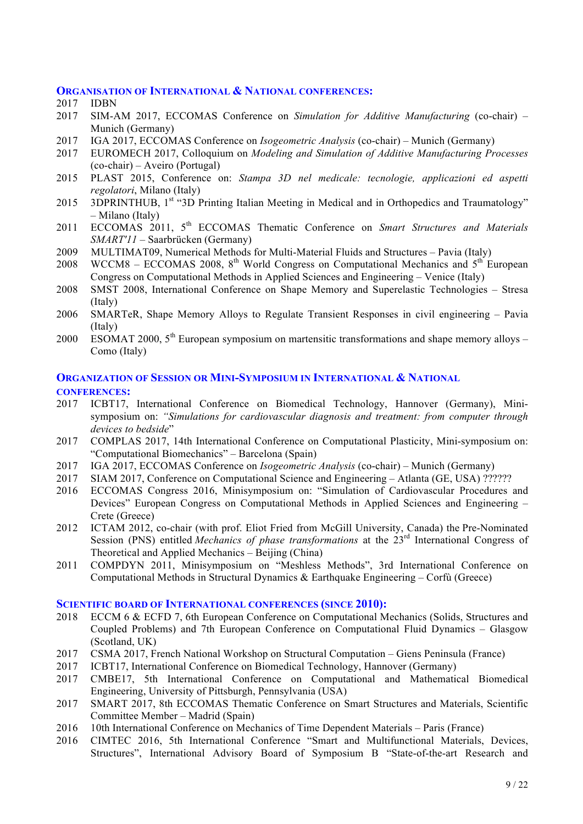#### **ORGANISATION OF INTERNATIONAL & NATIONAL CONFERENCES:**

- 2017 IDBN
- 2017 SIM-AM 2017, ECCOMAS Conference on *Simulation for Additive Manufacturing* (co-chair) Munich (Germany)
- 2017 IGA 2017, ECCOMAS Conference on *Isogeometric Analysis* (co-chair) Munich (Germany)
- 2017 EUROMECH 2017, Colloquium on *Modeling and Simulation of Additive Manufacturing Processes* (co-chair) – Aveiro (Portugal)
- 2015 PLAST 2015, Conference on: *Stampa 3D nel medicale: tecnologie, applicazioni ed aspetti regolatori*, Milano (Italy)
- 2015 3DPRINTHUB, 1<sup>st</sup> "3D Printing Italian Meeting in Medical and in Orthopedics and Traumatology" – Milano (Italy)
- 2011 ECCOMAS 2011, 5th ECCOMAS Thematic Conference on *Smart Structures and Materials SMART'11* – Saarbrücken (Germany)
- 2009 MULTIMAT09, Numerical Methods for Multi-Material Fluids and Structures Pavia (Italy)
- 2008 WCCM8 ECCOMAS 2008,  $8<sup>th</sup>$  World Congress on Computational Mechanics and  $5<sup>th</sup>$  European Congress on Computational Methods in Applied Sciences and Engineering – Venice (Italy)
- 2008 SMST 2008, International Conference on Shape Memory and Superelastic Technologies Stresa (Italy)
- 2006 SMARTeR, Shape Memory Alloys to Regulate Transient Responses in civil engineering Pavia (Italy)
- 2000 ESOMAT 2000,  $5<sup>th</sup>$  European symposium on martensitic transformations and shape memory alloys Como (Italy)

## **ORGANIZATION OF SESSION OR MINI-SYMPOSIUM IN INTERNATIONAL & NATIONAL CONFERENCES:**

- 2017 ICBT17, International Conference on Biomedical Technology, Hannover (Germany), Minisymposium on: *"Simulations for cardiovascular diagnosis and treatment: from computer through devices to bedside*"
- 2017 COMPLAS 2017, 14th International Conference on Computational Plasticity, Mini-symposium on: "Computational Biomechanics" – Barcelona (Spain)
- 2017 IGA 2017, ECCOMAS Conference on *Isogeometric Analysis* (co-chair) Munich (Germany)
- 2017 SIAM 2017, Conference on Computational Science and Engineering Atlanta (GE, USA) ??????
- 2016 ECCOMAS Congress 2016, Minisymposium on: "Simulation of Cardiovascular Procedures and Devices" European Congress on Computational Methods in Applied Sciences and Engineering – Crete (Greece)
- 2012 ICTAM 2012, co-chair (with prof. Eliot Fried from McGill University, Canada) the Pre-Nominated Session (PNS) entitled *Mechanics of phase transformations* at the 23<sup>rd</sup> International Congress of Theoretical and Applied Mechanics – Beijing (China)
- 2011 COMPDYN 2011, Minisymposium on "Meshless Methods", 3rd International Conference on Computational Methods in Structural Dynamics & Earthquake Engineering – Corfù (Greece)

## **SCIENTIFIC BOARD OF INTERNATIONAL CONFERENCES (SINCE 2010):**

- 2018 ECCM 6 & ECFD 7, 6th European Conference on Computational Mechanics (Solids, Structures and Coupled Problems) and 7th European Conference on Computational Fluid Dynamics – Glasgow (Scotland, UK)
- 2017 CSMA 2017, French National Workshop on Structural Computation Giens Peninsula (France)
- 2017 ICBT17, International Conference on Biomedical Technology, Hannover (Germany)
- 2017 CMBE17, 5th International Conference on Computational and Mathematical Biomedical Engineering, University of Pittsburgh, Pennsylvania (USA)
- 2017 SMART 2017, 8th ECCOMAS Thematic Conference on Smart Structures and Materials, Scientific Committee Member – Madrid (Spain)
- 2016 10th International Conference on Mechanics of Time Dependent Materials Paris (France)
- 2016 CIMTEC 2016, 5th International Conference "Smart and Multifunctional Materials, Devices, Structures", International Advisory Board of Symposium B "State-of-the-art Research and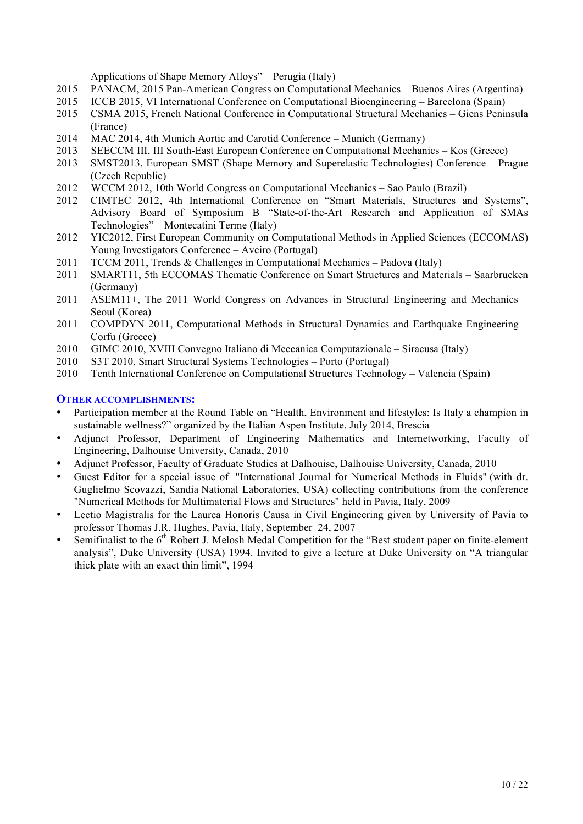Applications of Shape Memory Alloys" – Perugia (Italy)

- 2015 PANACM, 2015 Pan-American Congress on Computational Mechanics Buenos Aires (Argentina)
- 2015 ICCB 2015, VI International Conference on Computational Bioengineering Barcelona (Spain)
- 2015 CSMA 2015, French National Conference in Computational Structural Mechanics Giens Peninsula (France)
- 2014 MAC 2014, 4th Munich Aortic and Carotid Conference Munich (Germany)
- 2013 SEECCM III, III South-East European Conference on Computational Mechanics Kos (Greece)
- 2013 SMST2013, European SMST (Shape Memory and Superelastic Technologies) Conference Prague (Czech Republic)
- 2012 WCCM 2012, 10th World Congress on Computational Mechanics Sao Paulo (Brazil)
- 2012 CIMTEC 2012, 4th International Conference on "Smart Materials, Structures and Systems", Advisory Board of Symposium B "State-of-the-Art Research and Application of SMAs Technologies" – Montecatini Terme (Italy)
- 2012 YIC2012, First European Community on Computational Methods in Applied Sciences (ECCOMAS) Young Investigators Conference – Aveiro (Portugal)
- 2011 TCCM 2011, Trends & Challenges in Computational Mechanics Padova (Italy)
- 2011 SMART11, 5th ECCOMAS Thematic Conference on Smart Structures and Materials Saarbrucken (Germany)
- 2011 ASEM11+, The 2011 World Congress on Advances in Structural Engineering and Mechanics Seoul (Korea)
- 2011 COMPDYN 2011, Computational Methods in Structural Dynamics and Earthquake Engineering Corfu (Greece)
- 2010 GIMC 2010, XVIII Convegno Italiano di Meccanica Computazionale Siracusa (Italy)
- 2010 S3T 2010, Smart Structural Systems Technologies Porto (Portugal)
- 2010 Tenth International Conference on Computational Structures Technology Valencia (Spain)

#### **OTHER ACCOMPLISHMENTS:**

- Participation member at the Round Table on "Health, Environment and lifestyles: Is Italy a champion in sustainable wellness?" organized by the Italian Aspen Institute, July 2014, Brescia
- Adjunct Professor, Department of Engineering Mathematics and Internetworking, Faculty of Engineering, Dalhouise University, Canada, 2010
- Adjunct Professor, Faculty of Graduate Studies at Dalhouise, Dalhouise University, Canada, 2010
- Guest Editor for a special issue of "International Journal for Numerical Methods in Fluids" (with dr. Guglielmo Scovazzi, Sandia National Laboratories, USA) collecting contributions from the conference "Numerical Methods for Multimaterial Flows and Structures" held in Pavia, Italy, 2009
- Lectio Magistralis for the Laurea Honoris Causa in Civil Engineering given by University of Pavia to professor Thomas J.R. Hughes, Pavia, Italy, September 24, 2007
- Semifinalist to the  $6<sup>th</sup>$  Robert J. Melosh Medal Competition for the "Best student paper on finite-element analysis", Duke University (USA) 1994. Invited to give a lecture at Duke University on "A triangular thick plate with an exact thin limit", 1994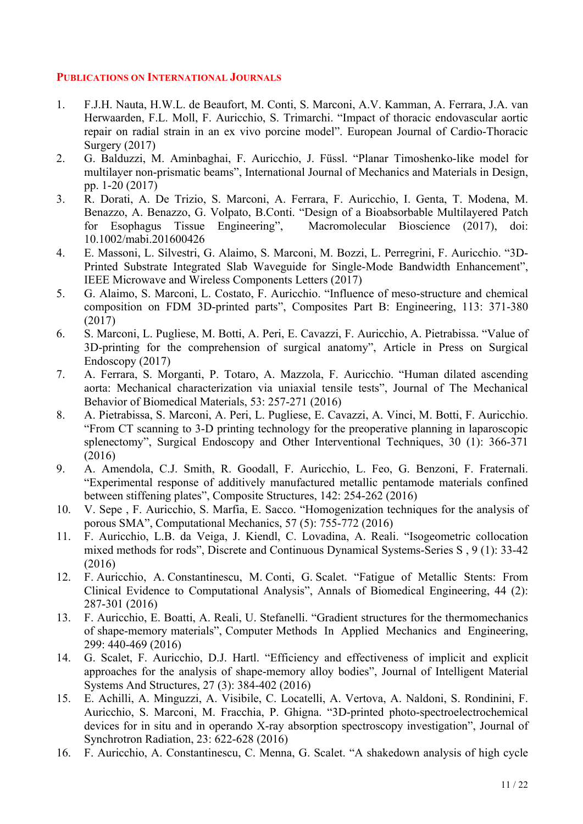# **PUBLICATIONS ON INTERNATIONAL JOURNALS**

- 1. F.J.H. Nauta, H.W.L. de Beaufort, M. Conti, S. Marconi, A.V. Kamman, A. Ferrara, J.A. van Herwaarden, F.L. Moll, F. Auricchio, S. Trimarchi. "Impact of thoracic endovascular aortic repair on radial strain in an ex vivo porcine model". European Journal of Cardio-Thoracic Surgery (2017)
- 2. G. Balduzzi, M. Aminbaghai, F. Auricchio, J. Füssl. "Planar Timoshenko-like model for multilayer non-prismatic beams", International Journal of Mechanics and Materials in Design, pp. 1-20 (2017)
- 3. R. Dorati, A. De Trizio, S. Marconi, A. Ferrara, F. Auricchio, I. Genta, T. Modena, M. Benazzo, A. Benazzo, G. Volpato, B.Conti. "Design of a Bioabsorbable Multilayered Patch for Esophagus Tissue Engineering", Macromolecular Bioscience (2017), doi: 10.1002/mabi.201600426
- 4. E. Massoni, L. Silvestri, G. Alaimo, S. Marconi, M. Bozzi, L. Perregrini, F. Auricchio. "3D-Printed Substrate Integrated Slab Waveguide for Single-Mode Bandwidth Enhancement", IEEE Microwave and Wireless Components Letters (2017)
- 5. G. Alaimo, S. Marconi, L. Costato, F. Auricchio. "Influence of meso-structure and chemical composition on FDM 3D-printed parts", Composites Part B: Engineering, 113: 371-380 (2017)
- 6. S. Marconi, L. Pugliese, M. Botti, A. Peri, E. Cavazzi, F. Auricchio, A. Pietrabissa. "Value of 3D-printing for the comprehension of surgical anatomy", Article in Press on Surgical Endoscopy (2017)
- 7. A. Ferrara, S. Morganti, P. Totaro, A. Mazzola, F. Auricchio. "Human dilated ascending aorta: Mechanical characterization via uniaxial tensile tests", Journal of The Mechanical Behavior of Biomedical Materials, 53: 257-271 (2016)
- 8. A. Pietrabissa, S. Marconi, A. Peri, L. Pugliese, E. Cavazzi, A. Vinci, M. Botti, F. Auricchio. "From CT scanning to 3-D printing technology for the preoperative planning in laparoscopic splenectomy", Surgical Endoscopy and Other Interventional Techniques, 30 (1): 366-371 (2016)
- 9. A. Amendola, C.J. Smith, R. Goodall, F. Auricchio, L. Feo, G. Benzoni, F. Fraternali. "Experimental response of additively manufactured metallic pentamode materials confined between stiffening plates", Composite Structures, 142: 254-262 (2016)
- 10. V. Sepe , F. Auricchio, S. Marfia, E. Sacco. "Homogenization techniques for the analysis of porous SMA", Computational Mechanics, 57 (5): 755-772 (2016)
- 11. F. Auricchio, L.B. da Veiga, J. Kiendl, C. Lovadina, A. Reali. "Isogeometric collocation mixed methods for rods", Discrete and Continuous Dynamical Systems-Series S , 9 (1): 33-42 (2016)
- 12. F. Auricchio, A. Constantinescu, M. Conti, G. Scalet. "Fatigue of Metallic Stents: From Clinical Evidence to Computational Analysis", Annals of Biomedical Engineering, 44 (2): 287-301 (2016)
- 13. F. Auricchio, E. Boatti, A. Reali, U. Stefanelli. "Gradient structures for the thermomechanics of shape-memory materials", Computer Methods In Applied Mechanics and Engineering, 299: 440-469 (2016)
- 14. G. Scalet, F. Auricchio, D.J. Hartl. "Efficiency and effectiveness of implicit and explicit approaches for the analysis of shape-memory alloy bodies", Journal of Intelligent Material Systems And Structures, 27 (3): 384-402 (2016)
- 15. E. Achilli, A. Minguzzi, A. Visibile, C. Locatelli, A. Vertova, A. Naldoni, S. Rondinini, F. Auricchio, S. Marconi, M. Fracchia, P. Ghigna. "3D-printed photo-spectroelectrochemical devices for in situ and in operando X-ray absorption spectroscopy investigation", Journal of Synchrotron Radiation, 23: 622-628 (2016)
- 16. F. Auricchio, A. Constantinescu, C. Menna, G. Scalet. "A shakedown analysis of high cycle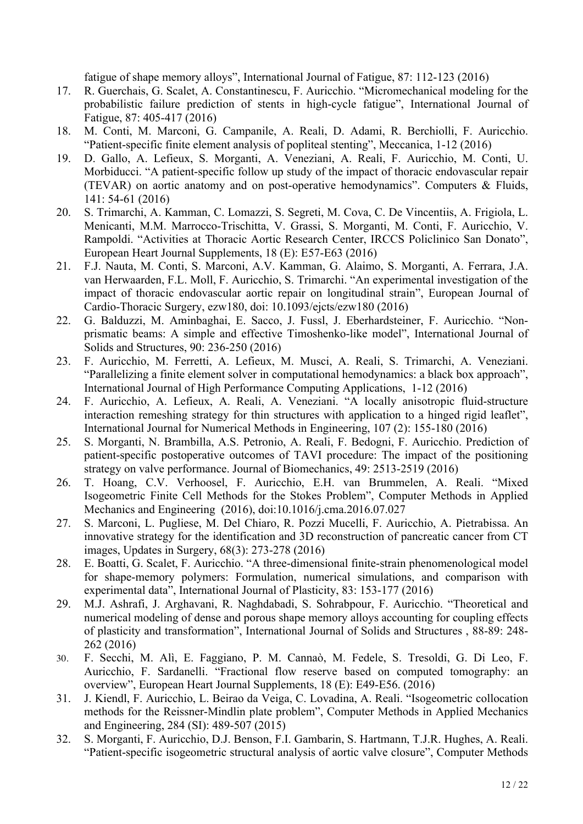fatigue of shape memory alloys", International Journal of Fatigue, 87: 112-123 (2016)

- 17. R. Guerchais, G. Scalet, A. Constantinescu, F. Auricchio. "Micromechanical modeling for the probabilistic failure prediction of stents in high-cycle fatigue", International Journal of Fatigue, 87: 405-417 (2016)
- 18. M. Conti, M. Marconi, G. Campanile, A. Reali, D. Adami, R. Berchiolli, F. Auricchio. "Patient-specific finite element analysis of popliteal stenting", Meccanica, 1-12 (2016)
- 19. D. Gallo, A. Lefieux, S. Morganti, A. Veneziani, A. Reali, F. Auricchio, M. Conti, U. Morbiducci. "A patient-specific follow up study of the impact of thoracic endovascular repair (TEVAR) on aortic anatomy and on post-operative hemodynamics". Computers & Fluids, 141: 54-61 (2016)
- 20. S. Trimarchi, A. Kamman, C. Lomazzi, S. Segreti, M. Cova, C. De Vincentiis, A. Frigiola, L. Menicanti, M.M. Marrocco-Trischitta, V. Grassi, S. Morganti, M. Conti, F. Auricchio, V. Rampoldi. "Activities at Thoracic Aortic Research Center, IRCCS Policlinico San Donato", European Heart Journal Supplements, 18 (E): E57-E63 (2016)
- 21. F.J. Nauta, M. Conti, S. Marconi, A.V. Kamman, G. Alaimo, S. Morganti, A. Ferrara, J.A. van Herwaarden, F.L. Moll, F. Auricchio, S. Trimarchi. "An experimental investigation of the impact of thoracic endovascular aortic repair on longitudinal strain", European Journal of Cardio-Thoracic Surgery, ezw180, doi: 10.1093/ejcts/ezw180 (2016)
- 22. G. Balduzzi, M. Aminbaghai, E. Sacco, J. Fussl, J. Eberhardsteiner, F. Auricchio. "Nonprismatic beams: A simple and effective Timoshenko-like model", International Journal of Solids and Structures, 90: 236-250 (2016)
- 23. F. Auricchio, M. Ferretti, A. Lefieux, M. Musci, A. Reali, S. Trimarchi, A. Veneziani. "Parallelizing a finite element solver in computational hemodynamics: a black box approach", International Journal of High Performance Computing Applications, 1-12 (2016)
- 24. F. Auricchio, A. Lefieux, A. Reali, A. Veneziani. "A locally anisotropic fluid-structure interaction remeshing strategy for thin structures with application to a hinged rigid leaflet", International Journal for Numerical Methods in Engineering, 107 (2): 155-180 (2016)
- 25. S. Morganti, N. Brambilla, A.S. Petronio, A. Reali, F. Bedogni, F. Auricchio. Prediction of patient-specific postoperative outcomes of TAVI procedure: The impact of the positioning strategy on valve performance. Journal of Biomechanics, 49: 2513-2519 (2016)
- 26. T. Hoang, C.V. Verhoosel, F. Auricchio, E.H. van Brummelen, A. Reali. "Mixed Isogeometric Finite Cell Methods for the Stokes Problem", Computer Methods in Applied Mechanics and Engineering (2016), doi:10.1016/j.cma.2016.07.027
- 27. S. Marconi, L. Pugliese, M. Del Chiaro, R. Pozzi Mucelli, F. Auricchio, A. Pietrabissa. An innovative strategy for the identification and 3D reconstruction of pancreatic cancer from CT images, Updates in Surgery, 68(3): 273-278 (2016)
- 28. E. Boatti, G. Scalet, F. Auricchio. "A three-dimensional finite-strain phenomenological model for shape-memory polymers: Formulation, numerical simulations, and comparison with experimental data", International Journal of Plasticity, 83: 153-177 (2016)
- 29. M.J. Ashrafi, J. Arghavani, R. Naghdabadi, S. Sohrabpour, F. Auricchio. "Theoretical and numerical modeling of dense and porous shape memory alloys accounting for coupling effects of plasticity and transformation", International Journal of Solids and Structures , 88-89: 248- 262 (2016)
- 30. F. Secchi, M. Alì, E. Faggiano, P. M. Cannaò, M. Fedele, S. Tresoldi, G. Di Leo, F. Auricchio, F. Sardanelli. "Fractional flow reserve based on computed tomography: an overview", European Heart Journal Supplements, 18 (E): E49-E56. (2016)
- 31. J. Kiendl, F. Auricchio, L. Beirao da Veiga, C. Lovadina, A. Reali. "Isogeometric collocation methods for the Reissner-Mindlin plate problem", Computer Methods in Applied Mechanics and Engineering, 284 (SI): 489-507 (2015)
- 32. S. Morganti, F. Auricchio, D.J. Benson, F.I. Gambarin, S. Hartmann, T.J.R. Hughes, A. Reali. "Patient-specific isogeometric structural analysis of aortic valve closure", Computer Methods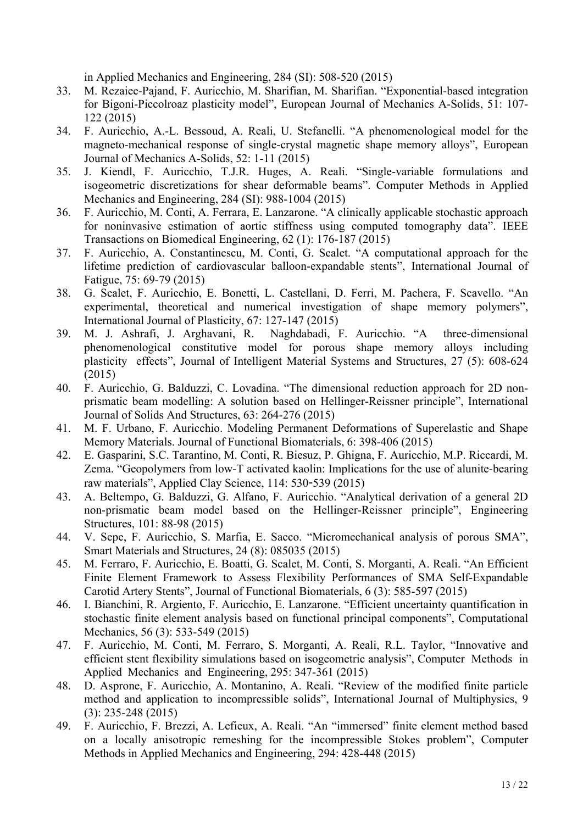in Applied Mechanics and Engineering, 284 (SI): 508-520 (2015)

- 33. M. Rezaiee-Pajand, F. Auricchio, M. Sharifian, M. Sharifian. "Exponential-based integration for Bigoni-Piccolroaz plasticity model", European Journal of Mechanics A-Solids, 51: 107- 122 (2015)
- 34. F. Auricchio, A.-L. Bessoud, A. Reali, U. Stefanelli. "A phenomenological model for the magneto-mechanical response of single-crystal magnetic shape memory alloys", European Journal of Mechanics A-Solids, 52: 1-11 (2015)
- 35. J. Kiendl, F. Auricchio, T.J.R. Huges, A. Reali. "Single-variable formulations and isogeometric discretizations for shear deformable beams". Computer Methods in Applied Mechanics and Engineering, 284 (SI): 988-1004 (2015)
- 36. F. Auricchio, M. Conti, A. Ferrara, E. Lanzarone. "A clinically applicable stochastic approach for noninvasive estimation of aortic stiffness using computed tomography data". IEEE Transactions on Biomedical Engineering, 62 (1): 176-187 (2015)
- 37. F. Auricchio, A. Constantinescu, M. Conti, G. Scalet. "A computational approach for the lifetime prediction of cardiovascular balloon-expandable stents", International Journal of Fatigue, 75: 69-79 (2015)
- 38. G. Scalet, F. Auricchio, E. Bonetti, L. Castellani, D. Ferri, M. Pachera, F. Scavello. "An experimental, theoretical and numerical investigation of shape memory polymers", International Journal of Plasticity, 67: 127-147 (2015)
- 39. M. J. Ashrafi, J. Arghavani, R. Naghdabadi, F. Auricchio. "A three-dimensional phenomenological constitutive model for porous shape memory alloys including plasticity effects", Journal of Intelligent Material Systems and Structures, 27 (5): 608-624 (2015)
- 40. F. Auricchio, G. Balduzzi, C. Lovadina. "The dimensional reduction approach for 2D nonprismatic beam modelling: A solution based on Hellinger-Reissner principle", International Journal of Solids And Structures, 63: 264-276 (2015)
- 41. M. F. Urbano, F. Auricchio. Modeling Permanent Deformations of Superelastic and Shape Memory Materials. Journal of Functional Biomaterials, 6: 398-406 (2015)
- 42. E. Gasparini, S.C. Tarantino, M. Conti, R. Biesuz, P. Ghigna, F. Auricchio, M.P. Riccardi, M. Zema. "Geopolymers from low-T activated kaolin: Implications for the use of alunite-bearing raw materials", Applied Clay Science, 114: 530-539 (2015)
- 43. A. Beltempo, G. Balduzzi, G. Alfano, F. Auricchio. "Analytical derivation of a general 2D non-prismatic beam model based on the Hellinger-Reissner principle", Engineering Structures, 101: 88-98 (2015)
- 44. V. Sepe, F. Auricchio, S. Marfia, E. Sacco. "Micromechanical analysis of porous SMA", Smart Materials and Structures, 24 (8): 085035 (2015)
- 45. M. Ferraro, F. Auricchio, E. Boatti, G. Scalet, M. Conti, S. Morganti, A. Reali. "An Efficient Finite Element Framework to Assess Flexibility Performances of SMA Self-Expandable Carotid Artery Stents", Journal of Functional Biomaterials, 6 (3): 585-597 (2015)
- 46. I. Bianchini, R. Argiento, F. Auricchio, E. Lanzarone. "Efficient uncertainty quantification in stochastic finite element analysis based on functional principal components", Computational Mechanics, 56 (3): 533-549 (2015)
- 47. F. Auricchio, M. Conti, M. Ferraro, S. Morganti, A. Reali, R.L. Taylor, "Innovative and efficient stent flexibility simulations based on isogeometric analysis", Computer Methods in Applied Mechanics and Engineering, 295: 347-361 (2015)
- 48. D. Asprone, F. Auricchio, A. Montanino, A. Reali. "Review of the modified finite particle method and application to incompressible solids", International Journal of Multiphysics, 9 (3): 235-248 (2015)
- 49. F. Auricchio, F. Brezzi, A. Lefieux, A. Reali. "An "immersed" finite element method based on a locally anisotropic remeshing for the incompressible Stokes problem", Computer Methods in Applied Mechanics and Engineering, 294: 428-448 (2015)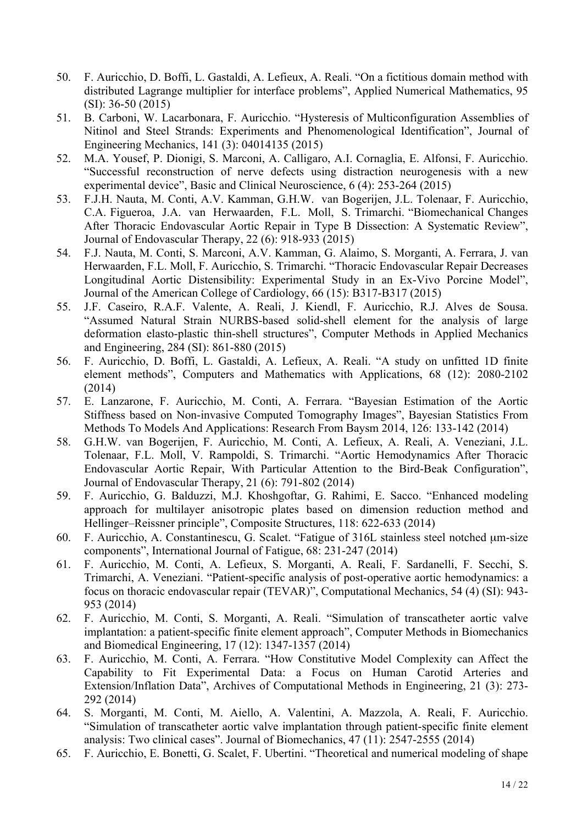- 50. F. Auricchio, D. Boffi, L. Gastaldi, A. Lefieux, A. Reali. "On a fictitious domain method with distributed Lagrange multiplier for interface problems", Applied Numerical Mathematics, 95 (SI): 36-50 (2015)
- 51. B. Carboni, W. Lacarbonara, F. Auricchio. "Hysteresis of Multiconfiguration Assemblies of Nitinol and Steel Strands: Experiments and Phenomenological Identification", Journal of Engineering Mechanics, 141 (3): 04014135 (2015)
- 52. M.A. Yousef, P. Dionigi, S. Marconi, A. Calligaro, A.I. Cornaglia, E. Alfonsi, F. Auricchio. "Successful reconstruction of nerve defects using distraction neurogenesis with a new experimental device", Basic and Clinical Neuroscience, 6 (4): 253-264 (2015)
- 53. F.J.H. Nauta, M. Conti, A.V. Kamman, G.H.W. van Bogerijen, J.L. Tolenaar, F. Auricchio, C.A. Figueroa, J.A. van Herwaarden, F.L. Moll, S. Trimarchi. "Biomechanical Changes After Thoracic Endovascular Aortic Repair in Type B Dissection: A Systematic Review", Journal of Endovascular Therapy, 22 (6): 918-933 (2015)
- 54. F.J. Nauta, M. Conti, S. Marconi, A.V. Kamman, G. Alaimo, S. Morganti, A. Ferrara, J. van Herwaarden, F.L. Moll, F. Auricchio, S. Trimarchi. "Thoracic Endovascular Repair Decreases Longitudinal Aortic Distensibility: Experimental Study in an Ex-Vivo Porcine Model", Journal of the American College of Cardiology, 66 (15): B317-B317 (2015)
- 55. J.F. Caseiro, R.A.F. Valente, A. Reali, J. Kiendl, F. Auricchio, R.J. Alves de Sousa. "Assumed Natural Strain NURBS-based solid-shell element for the analysis of large deformation elasto-plastic thin-shell structures", Computer Methods in Applied Mechanics and Engineering, 284 (SI): 861-880 (2015)
- 56. F. Auricchio, D. Boffi, L. Gastaldi, A. Lefieux, A. Reali. "A study on unfitted 1D finite element methods", Computers and Mathematics with Applications, 68 (12): 2080-2102 (2014)
- 57. E. Lanzarone, F. Auricchio, M. Conti, A. Ferrara. "Bayesian Estimation of the Aortic Stiffness based on Non-invasive Computed Tomography Images", Bayesian Statistics From Methods To Models And Applications: Research From Baysm 2014, 126: 133-142 (2014)
- 58. G.H.W. van Bogerijen, F. Auricchio, M. Conti, A. Lefieux, A. Reali, A. Veneziani, J.L. Tolenaar, F.L. Moll, V. Rampoldi, S. Trimarchi. "Aortic Hemodynamics After Thoracic Endovascular Aortic Repair, With Particular Attention to the Bird-Beak Configuration", Journal of Endovascular Therapy, 21 (6): 791-802 (2014)
- 59. F. Auricchio, G. Balduzzi, M.J. Khoshgoftar, G. Rahimi, E. Sacco. "Enhanced modeling approach for multilayer anisotropic plates based on dimension reduction method and Hellinger–Reissner principle", Composite Structures, 118: 622-633 (2014)
- 60. F. Auricchio, A. Constantinescu, G. Scalet. "Fatigue of 316L stainless steel notched µm-size components", International Journal of Fatigue, 68: 231-247 (2014)
- 61. F. Auricchio, M. Conti, A. Lefieux, S. Morganti, A. Reali, F. Sardanelli, F. Secchi, S. Trimarchi, A. Veneziani. "Patient-specific analysis of post-operative aortic hemodynamics: a focus on thoracic endovascular repair (TEVAR)", Computational Mechanics, 54 (4) (SI): 943- 953 (2014)
- 62. F. Auricchio, M. Conti, S. Morganti, A. Reali. "Simulation of transcatheter aortic valve implantation: a patient-specific finite element approach", Computer Methods in Biomechanics and Biomedical Engineering, 17 (12): 1347-1357 (2014)
- 63. F. Auricchio, M. Conti, A. Ferrara. "How Constitutive Model Complexity can Affect the Capability to Fit Experimental Data: a Focus on Human Carotid Arteries and Extension/Inflation Data", Archives of Computational Methods in Engineering, 21 (3): 273- 292 (2014)
- 64. S. Morganti, M. Conti, M. Aiello, A. Valentini, A. Mazzola, A. Reali, F. Auricchio. "Simulation of transcatheter aortic valve implantation through patient-specific finite element analysis: Two clinical cases". Journal of Biomechanics, 47 (11): 2547-2555 (2014)
- 65. F. Auricchio, E. Bonetti, G. Scalet, F. Ubertini. "Theoretical and numerical modeling of shape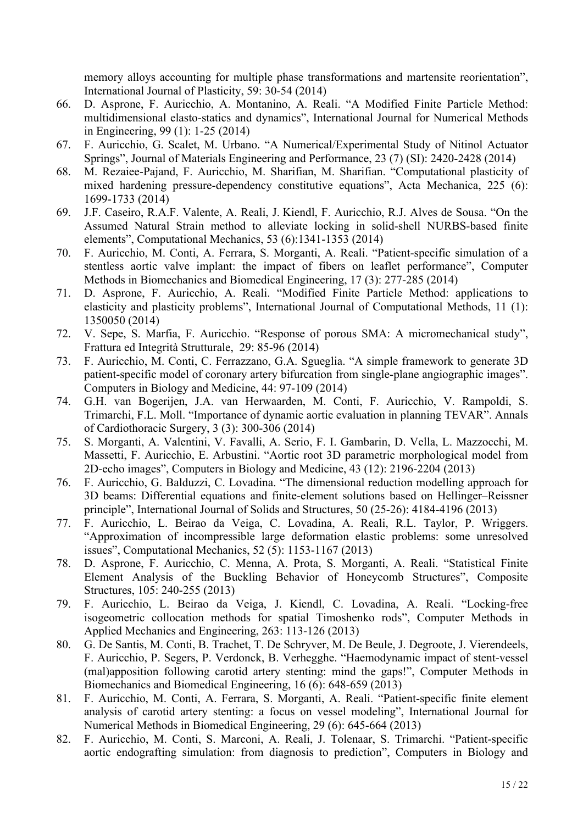memory alloys accounting for multiple phase transformations and martensite reorientation", International Journal of Plasticity, 59: 30-54 (2014)

- 66. D. Asprone, F. Auricchio, A. Montanino, A. Reali. "A Modified Finite Particle Method: multidimensional elasto-statics and dynamics", International Journal for Numerical Methods in Engineering, 99 (1): 1-25 (2014)
- 67. F. Auricchio, G. Scalet, M. Urbano. "A Numerical/Experimental Study of Nitinol Actuator Springs", Journal of Materials Engineering and Performance, 23 (7) (SI): 2420-2428 (2014)
- 68. M. Rezaiee-Pajand, F. Auricchio, M. Sharifian, M. Sharifian. "Computational plasticity of mixed hardening pressure-dependency constitutive equations", Acta Mechanica, 225 (6): 1699-1733 (2014)
- 69. J.F. Caseiro, R.A.F. Valente, A. Reali, J. Kiendl, F. Auricchio, R.J. Alves de Sousa. "On the Assumed Natural Strain method to alleviate locking in solid-shell NURBS-based finite elements", Computational Mechanics, 53 (6):1341-1353 (2014)
- 70. F. Auricchio, M. Conti, A. Ferrara, S. Morganti, A. Reali. "Patient-specific simulation of a stentless aortic valve implant: the impact of fibers on leaflet performance", Computer Methods in Biomechanics and Biomedical Engineering, 17 (3): 277-285 (2014)
- 71. D. Asprone, F. Auricchio, A. Reali. "Modified Finite Particle Method: applications to elasticity and plasticity problems", International Journal of Computational Methods, 11 (1): 1350050 (2014)
- 72. V. Sepe, S. Marfia, F. Auricchio. "Response of porous SMA: A micromechanical study", Frattura ed Integrità Strutturale, 29: 85-96 (2014)
- 73. F. Auricchio, M. Conti, C. Ferrazzano, G.A. Sgueglia. "A simple framework to generate 3D patient-specific model of coronary artery bifurcation from single-plane angiographic images". Computers in Biology and Medicine, 44: 97-109 (2014)
- 74. G.H. van Bogerijen, J.A. van Herwaarden, M. Conti, F. Auricchio, V. Rampoldi, S. Trimarchi, F.L. Moll. "Importance of dynamic aortic evaluation in planning TEVAR". Annals of Cardiothoracic Surgery, 3 (3): 300-306 (2014)
- 75. S. Morganti, A. Valentini, V. Favalli, A. Serio, F. I. Gambarin, D. Vella, L. Mazzocchi, M. Massetti, F. Auricchio, E. Arbustini. "Aortic root 3D parametric morphological model from 2D-echo images", Computers in Biology and Medicine, 43 (12): 2196-2204 (2013)
- 76. F. Auricchio, G. Balduzzi, C. Lovadina. "The dimensional reduction modelling approach for 3D beams: Differential equations and finite-element solutions based on Hellinger–Reissner principle", International Journal of Solids and Structures, 50 (25-26): 4184-4196 (2013)
- 77. F. Auricchio, L. Beirao da Veiga, C. Lovadina, A. Reali, R.L. Taylor, P. Wriggers. "Approximation of incompressible large deformation elastic problems: some unresolved issues", Computational Mechanics, 52 (5): 1153-1167 (2013)
- 78. D. Asprone, F. Auricchio, C. Menna, A. Prota, S. Morganti, A. Reali. "Statistical Finite Element Analysis of the Buckling Behavior of Honeycomb Structures", Composite Structures, 105: 240-255 (2013)
- 79. F. Auricchio, L. Beirao da Veiga, J. Kiendl, C. Lovadina, A. Reali. "Locking-free isogeometric collocation methods for spatial Timoshenko rods", Computer Methods in Applied Mechanics and Engineering, 263: 113-126 (2013)
- 80. G. De Santis, M. Conti, B. Trachet, T. De Schryver, M. De Beule, J. Degroote, J. Vierendeels, F. Auricchio, P. Segers, P. Verdonck, B. Verhegghe. "Haemodynamic impact of stent-vessel (mal)apposition following carotid artery stenting: mind the gaps!", Computer Methods in Biomechanics and Biomedical Engineering, 16 (6): 648-659 (2013)
- 81. F. Auricchio, M. Conti, A. Ferrara, S. Morganti, A. Reali. "Patient-specific finite element analysis of carotid artery stenting: a focus on vessel modeling", International Journal for Numerical Methods in Biomedical Engineering, 29 (6): 645-664 (2013)
- 82. F. Auricchio, M. Conti, S. Marconi, A. Reali, J. Tolenaar, S. Trimarchi. "Patient-specific aortic endografting simulation: from diagnosis to prediction", Computers in Biology and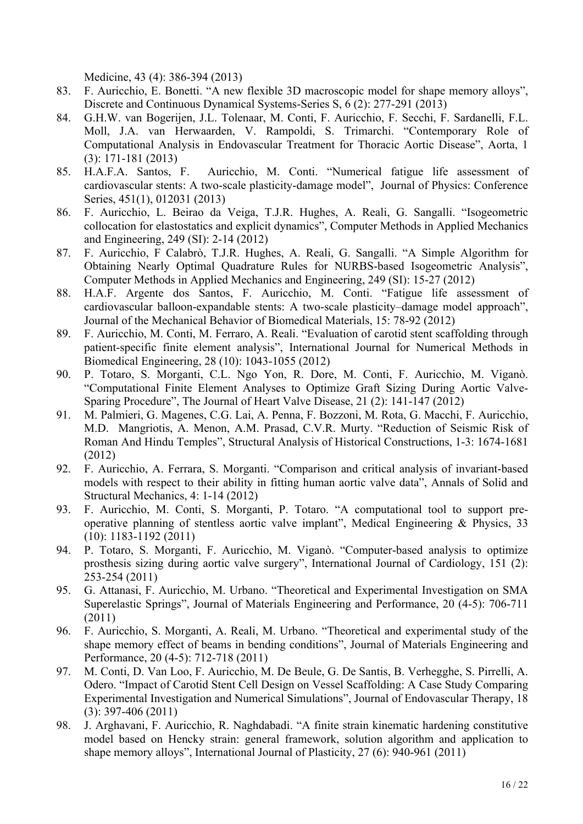Medicine, 43 (4): 386-394 (2013)

- 83. F. Auricchio, E. Bonetti. "A new flexible 3D macroscopic model for shape memory alloys", Discrete and Continuous Dynamical Systems-Series S, 6 (2): 277-291 (2013)
- 84. G.H.W. van Bogerijen, J.L. Tolenaar, M. Conti, F. Auricchio, F. Secchi, F. Sardanelli, F.L. Moll, J.A. van Herwaarden, V. Rampoldi, S. Trimarchi. "Contemporary Role of Computational Analysis in Endovascular Treatment for Thoracic Aortic Disease", Aorta, 1 (3): 171-181 (2013)
- 85. H.A.F.A. Santos, F. Auricchio, M. Conti. "Numerical fatigue life assessment of cardiovascular stents: A two-scale plasticity-damage model", Journal of Physics: Conference Series, 451(1), 012031 (2013)
- 86. F. Auricchio, L. Beirao da Veiga, T.J.R. Hughes, A. Reali, G. Sangalli. "Isogeometric collocation for elastostatics and explicit dynamics", Computer Methods in Applied Mechanics and Engineering, 249 (SI): 2-14 (2012)
- 87. F. Auricchio, F Calabrò, T.J.R. Hughes, A. Reali, G. Sangalli. "A Simple Algorithm for Obtaining Nearly Optimal Quadrature Rules for NURBS-based Isogeometric Analysis", Computer Methods in Applied Mechanics and Engineering, 249 (SI): 15-27 (2012)
- 88. H.A.F. Argente dos Santos, F. Auricchio, M. Conti. "Fatigue life assessment of cardiovascular balloon-expandable stents: A two-scale plasticity–damage model approach", Journal of the Mechanical Behavior of Biomedical Materials, 15: 78-92 (2012)
- 89. F. Auricchio, M. Conti, M. Ferraro, A. Reali. "Evaluation of carotid stent scaffolding through patient-specific finite element analysis", International Journal for Numerical Methods in Biomedical Engineering, 28 (10): 1043-1055 (2012)
- 90. P. Totaro, S. Morganti, C.L. Ngo Yon, R. Dore, M. Conti, F. Auricchio, M. Viganò. "Computational Finite Element Analyses to Optimize Graft Sizing During Aortic Valve-Sparing Procedure", The Journal of Heart Valve Disease, 21 (2): 141-147 (2012)
- 91. M. Palmieri, G. Magenes, C.G. Lai, A. Penna, F. Bozzoni, M. Rota, G. Macchi, F. Auricchio, M.D. Mangriotis, A. Menon, A.M. Prasad, C.V.R. Murty. "Reduction of Seismic Risk of Roman And Hindu Temples", Structural Analysis of Historical Constructions, 1-3: 1674-1681 (2012)
- 92. F. Auricchio, A. Ferrara, S. Morganti. "Comparison and critical analysis of invariant-based models with respect to their ability in fitting human aortic valve data", Annals of Solid and Structural Mechanics, 4: 1-14 (2012)
- 93. F. Auricchio, M. Conti, S. Morganti, P. Totaro. "A computational tool to support preoperative planning of stentless aortic valve implant", Medical Engineering & Physics, 33 (10): 1183-1192 (2011)
- 94. P. Totaro, S. Morganti, F. Auricchio, M. Viganò. "Computer-based analysis to optimize prosthesis sizing during aortic valve surgery", International Journal of Cardiology, 151 (2): 253-254 (2011)
- 95. G. Attanasi, F. Auricchio, M. Urbano. "Theoretical and Experimental Investigation on SMA Superelastic Springs", Journal of Materials Engineering and Performance, 20 (4-5): 706-711 (2011)
- 96. F. Auricchio, S. Morganti, A. Reali, M. Urbano. "Theoretical and experimental study of the shape memory effect of beams in bending conditions", Journal of Materials Engineering and Performance, 20 (4-5): 712-718 (2011)
- 97. M. Conti, D. Van Loo, F. Auricchio, M. De Beule, G. De Santis, B. Verhegghe, S. Pirrelli, A. Odero. "Impact of Carotid Stent Cell Design on Vessel Scaffolding: A Case Study Comparing Experimental Investigation and Numerical Simulations", Journal of Endovascular Therapy, 18 (3): 397-406 (2011)
- 98. J. Arghavani, F. Auricchio, R. Naghdabadi. "A finite strain kinematic hardening constitutive model based on Hencky strain: general framework, solution algorithm and application to shape memory alloys", International Journal of Plasticity, 27 (6): 940-961 (2011)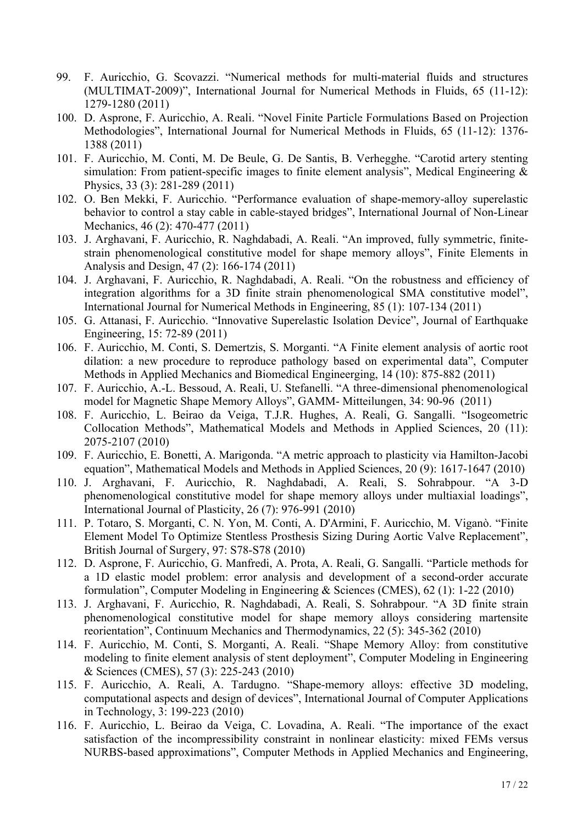- 99. F. Auricchio, G. Scovazzi. "Numerical methods for multi-material fluids and structures (MULTIMAT-2009)", International Journal for Numerical Methods in Fluids, 65 (11-12): 1279-1280 (2011)
- 100. D. Asprone, F. Auricchio, A. Reali. "Novel Finite Particle Formulations Based on Projection Methodologies", International Journal for Numerical Methods in Fluids, 65 (11-12): 1376- 1388 (2011)
- 101. F. Auricchio, M. Conti, M. De Beule, G. De Santis, B. Verhegghe. "Carotid artery stenting simulation: From patient-specific images to finite element analysis", Medical Engineering  $\&$ Physics, 33 (3): 281-289 (2011)
- 102. O. Ben Mekki, F. Auricchio. "Performance evaluation of shape-memory-alloy superelastic behavior to control a stay cable in cable-stayed bridges", International Journal of Non-Linear Mechanics, 46 (2): 470-477 (2011)
- 103. J. Arghavani, F. Auricchio, R. Naghdabadi, A. Reali. "An improved, fully symmetric, finitestrain phenomenological constitutive model for shape memory alloys", Finite Elements in Analysis and Design, 47 (2): 166-174 (2011)
- 104. J. Arghavani, F. Auricchio, R. Naghdabadi, A. Reali. "On the robustness and efficiency of integration algorithms for a 3D finite strain phenomenological SMA constitutive model", International Journal for Numerical Methods in Engineering, 85 (1): 107-134 (2011)
- 105. G. Attanasi, F. Auricchio. "Innovative Superelastic Isolation Device", Journal of Earthquake Engineering, 15: 72-89 (2011)
- 106. F. Auricchio, M. Conti, S. Demertzis, S. Morganti. "A Finite element analysis of aortic root dilation: a new procedure to reproduce pathology based on experimental data", Computer Methods in Applied Mechanics and Biomedical Engineerging, 14 (10): 875-882 (2011)
- 107. F. Auricchio, A.-L. Bessoud, A. Reali, U. Stefanelli. "A three-dimensional phenomenological model for Magnetic Shape Memory Alloys", GAMM- Mitteilungen, 34: 90-96 (2011)
- 108. F. Auricchio, L. Beirao da Veiga, T.J.R. Hughes, A. Reali, G. Sangalli. "Isogeometric Collocation Methods", Mathematical Models and Methods in Applied Sciences, 20 (11): 2075-2107 (2010)
- 109. F. Auricchio, E. Bonetti, A. Marigonda. "A metric approach to plasticity via Hamilton-Jacobi equation", Mathematical Models and Methods in Applied Sciences, 20 (9): 1617-1647 (2010)
- 110. J. Arghavani, F. Auricchio, R. Naghdabadi, A. Reali, S. Sohrabpour. "A 3-D phenomenological constitutive model for shape memory alloys under multiaxial loadings", International Journal of Plasticity, 26 (7): 976-991 (2010)
- 111. P. Totaro, S. Morganti, C. N. Yon, M. Conti, A. D'Armini, F. Auricchio, M. Viganò. "Finite Element Model To Optimize Stentless Prosthesis Sizing During Aortic Valve Replacement", British Journal of Surgery, 97: S78-S78 (2010)
- 112. D. Asprone, F. Auricchio, G. Manfredi, A. Prota, A. Reali, G. Sangalli. "Particle methods for a 1D elastic model problem: error analysis and development of a second-order accurate formulation", Computer Modeling in Engineering & Sciences (CMES), 62 (1): 1-22 (2010)
- 113. J. Arghavani, F. Auricchio, R. Naghdabadi, A. Reali, S. Sohrabpour. "A 3D finite strain phenomenological constitutive model for shape memory alloys considering martensite reorientation", Continuum Mechanics and Thermodynamics, 22 (5): 345-362 (2010)
- 114. F. Auricchio, M. Conti, S. Morganti, A. Reali. "Shape Memory Alloy: from constitutive modeling to finite element analysis of stent deployment", Computer Modeling in Engineering & Sciences (CMES), 57 (3): 225-243 (2010)
- 115. F. Auricchio, A. Reali, A. Tardugno. "Shape-memory alloys: effective 3D modeling, computational aspects and design of devices", International Journal of Computer Applications in Technology, 3: 199-223 (2010)
- 116. F. Auricchio, L. Beirao da Veiga, C. Lovadina, A. Reali. "The importance of the exact satisfaction of the incompressibility constraint in nonlinear elasticity: mixed FEMs versus NURBS-based approximations", Computer Methods in Applied Mechanics and Engineering,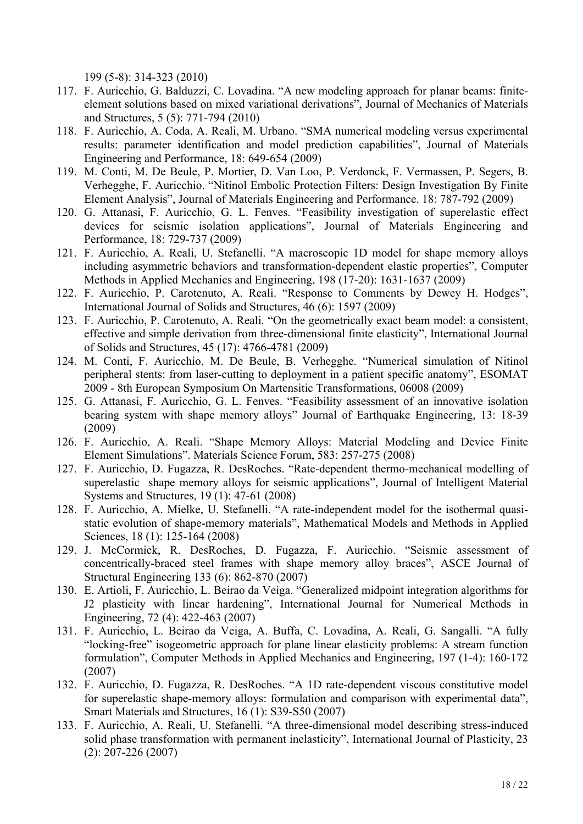199 (5-8): 314-323 (2010)

- 117. F. Auricchio, G. Balduzzi, C. Lovadina. "A new modeling approach for planar beams: finiteelement solutions based on mixed variational derivations", Journal of Mechanics of Materials and Structures, 5 (5): 771-794 (2010)
- 118. F. Auricchio, A. Coda, A. Reali, M. Urbano. "SMA numerical modeling versus experimental results: parameter identification and model prediction capabilities", Journal of Materials Engineering and Performance, 18: 649-654 (2009)
- 119. M. Conti, M. De Beule, P. Mortier, D. Van Loo, P. Verdonck, F. Vermassen, P. Segers, B. Verhegghe, F. Auricchio. "Nitinol Embolic Protection Filters: Design Investigation By Finite Element Analysis", Journal of Materials Engineering and Performance. 18: 787-792 (2009)
- 120. G. Attanasi, F. Auricchio, G. L. Fenves. "Feasibility investigation of superelastic effect devices for seismic isolation applications", Journal of Materials Engineering and Performance, 18: 729-737 (2009)
- 121. F. Auricchio, A. Reali, U. Stefanelli. "A macroscopic 1D model for shape memory alloys including asymmetric behaviors and transformation-dependent elastic properties", Computer Methods in Applied Mechanics and Engineering, 198 (17-20): 1631-1637 (2009)
- 122. F. Auricchio, P. Carotenuto, A. Reali. "Response to Comments by Dewey H. Hodges", International Journal of Solids and Structures, 46 (6): 1597 (2009)
- 123. F. Auricchio, P. Carotenuto, A. Reali. "On the geometrically exact beam model: a consistent, effective and simple derivation from three-dimensional finite elasticity", International Journal of Solids and Structures, 45 (17): 4766-4781 (2009)
- 124. M. Conti, F. Auricchio, M. De Beule, B. Verhegghe. "Numerical simulation of Nitinol peripheral stents: from laser-cutting to deployment in a patient specific anatomy", ESOMAT 2009 - 8th European Symposium On Martensitic Transformations, 06008 (2009)
- 125. G. Attanasi, F. Auricchio, G. L. Fenves. "Feasibility assessment of an innovative isolation bearing system with shape memory alloys" Journal of Earthquake Engineering, 13: 18-39 (2009)
- 126. F. Auricchio, A. Reali. "Shape Memory Alloys: Material Modeling and Device Finite Element Simulations". Materials Science Forum, 583: 257-275 (2008)
- 127. F. Auricchio, D. Fugazza, R. DesRoches. "Rate-dependent thermo-mechanical modelling of superelastic shape memory alloys for seismic applications", Journal of Intelligent Material Systems and Structures, 19 (1): 47-61 (2008)
- 128. F. Auricchio, A. Mielke, U. Stefanelli. "A rate-independent model for the isothermal quasistatic evolution of shape-memory materials", Mathematical Models and Methods in Applied Sciences, 18 (1): 125-164 (2008)
- 129. J. McCormick, R. DesRoches, D. Fugazza, F. Auricchio. "Seismic assessment of concentrically-braced steel frames with shape memory alloy braces", ASCE Journal of Structural Engineering 133 (6): 862-870 (2007)
- 130. E. Artioli, F. Auricchio, L. Beirao da Veiga. "Generalized midpoint integration algorithms for J2 plasticity with linear hardening", International Journal for Numerical Methods in Engineering, 72 (4): 422-463 (2007)
- 131. F. Auricchio, L. Beirao da Veiga, A. Buffa, C. Lovadina, A. Reali, G. Sangalli. "A fully "locking-free" isogeometric approach for plane linear elasticity problems: A stream function formulation", Computer Methods in Applied Mechanics and Engineering, 197 (1-4): 160-172 (2007)
- 132. F. Auricchio, D. Fugazza, R. DesRoches. "A 1D rate-dependent viscous constitutive model for superelastic shape-memory alloys: formulation and comparison with experimental data", Smart Materials and Structures, 16 (1): S39-S50 (2007)
- 133. F. Auricchio, A. Reali, U. Stefanelli. "A three-dimensional model describing stress-induced solid phase transformation with permanent inelasticity", International Journal of Plasticity, 23 (2): 207-226 (2007)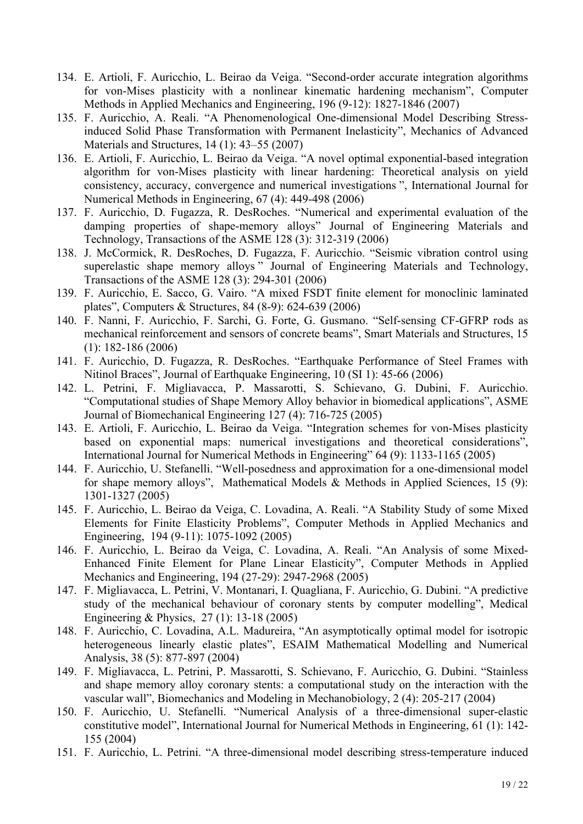- 134. E. Artioli, F. Auricchio, L. Beirao da Veiga. "Second-order accurate integration algorithms for von-Mises plasticity with a nonlinear kinematic hardening mechanism", Computer Methods in Applied Mechanics and Engineering, 196 (9-12): 1827-1846 (2007)
- 135. F. Auricchio, A. Reali. "A Phenomenological One-dimensional Model Describing Stressinduced Solid Phase Transformation with Permanent Inelasticity", Mechanics of Advanced Materials and Structures, 14 (1): 43–55 (2007)
- 136. E. Artioli, F. Auricchio, L. Beirao da Veiga. "A novel optimal exponential-based integration algorithm for von-Mises plasticity with linear hardening: Theoretical analysis on yield consistency, accuracy, convergence and numerical investigations ", International Journal for Numerical Methods in Engineering, 67 (4): 449-498 (2006)
- 137. F. Auricchio, D. Fugazza, R. DesRoches. "Numerical and experimental evaluation of the damping properties of shape-memory alloys" Journal of Engineering Materials and Technology, Transactions of the ASME 128 (3): 312-319 (2006)
- 138. J. McCormick, R. DesRoches, D. Fugazza, F. Auricchio. "Seismic vibration control using superelastic shape memory alloys " Journal of Engineering Materials and Technology, Transactions of the ASME 128 (3): 294-301 (2006)
- 139. F. Auricchio, E. Sacco, G. Vairo. "A mixed FSDT finite element for monoclinic laminated plates", Computers & Structures, 84 (8-9): 624-639 (2006)
- 140. F. Nanni, F. Auricchio, F. Sarchi, G. Forte, G. Gusmano. "Self-sensing CF-GFRP rods as mechanical reinforcement and sensors of concrete beams", Smart Materials and Structures, 15 (1): 182-186 (2006)
- 141. F. Auricchio, D. Fugazza, R. DesRoches. "Earthquake Performance of Steel Frames with Nitinol Braces", Journal of Earthquake Engineering, 10 (SI 1): 45-66 (2006)
- 142. L. Petrini, F. Migliavacca, P. Massarotti, S. Schievano, G. Dubini, F. Auricchio. "Computational studies of Shape Memory Alloy behavior in biomedical applications", ASME Journal of Biomechanical Engineering 127 (4): 716-725 (2005)
- 143. E. Artioli, F. Auricchio, L. Beirao da Veiga. "Integration schemes for von-Mises plasticity based on exponential maps: numerical investigations and theoretical considerations", International Journal for Numerical Methods in Engineering" 64 (9): 1133-1165 (2005)
- 144. F. Auricchio, U. Stefanelli. "Well-posedness and approximation for a one-dimensional model for shape memory alloys", Mathematical Models & Methods in Applied Sciences, 15 (9): 1301-1327 (2005)
- 145. F. Auricchio, L. Beirao da Veiga, C. Lovadina, A. Reali. "A Stability Study of some Mixed Elements for Finite Elasticity Problems", Computer Methods in Applied Mechanics and Engineering, 194 (9-11): 1075-1092 (2005)
- 146. F. Auricchio, L. Beirao da Veiga, C. Lovadina, A. Reali. "An Analysis of some Mixed-Enhanced Finite Element for Plane Linear Elasticity", Computer Methods in Applied Mechanics and Engineering, 194 (27-29): 2947-2968 (2005)
- 147. F. Migliavacca, L. Petrini, V. Montanari, I. Quagliana, F. Auricchio, G. Dubini. "A predictive study of the mechanical behaviour of coronary stents by computer modelling", Medical Engineering & Physics, 27 (1): 13-18 (2005)
- 148. F. Auricchio, C. Lovadina, A.L. Madureira, "An asymptotically optimal model for isotropic heterogeneous linearly elastic plates", ESAIM Mathematical Modelling and Numerical Analysis, 38 (5): 877-897 (2004)
- 149. F. Migliavacca, L. Petrini, P. Massarotti, S. Schievano, F. Auricchio, G. Dubini. "Stainless and shape memory alloy coronary stents: a computational study on the interaction with the vascular wall", Biomechanics and Modeling in Mechanobiology, 2 (4): 205-217 (2004)
- 150. F. Auricchio, U. Stefanelli. "Numerical Analysis of a three-dimensional super-elastic constitutive model", International Journal for Numerical Methods in Engineering, 61 (1): 142- 155 (2004)
- 151. F. Auricchio, L. Petrini. "A three-dimensional model describing stress-temperature induced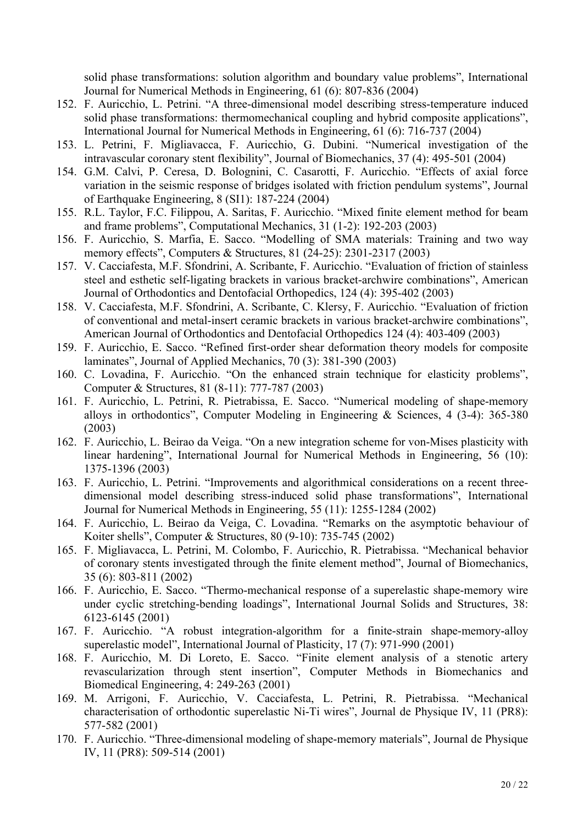solid phase transformations: solution algorithm and boundary value problems", International Journal for Numerical Methods in Engineering, 61 (6): 807-836 (2004)

- 152. F. Auricchio, L. Petrini. "A three-dimensional model describing stress-temperature induced solid phase transformations: thermomechanical coupling and hybrid composite applications", International Journal for Numerical Methods in Engineering, 61 (6): 716-737 (2004)
- 153. L. Petrini, F. Migliavacca, F. Auricchio, G. Dubini. "Numerical investigation of the intravascular coronary stent flexibility", Journal of Biomechanics, 37 (4): 495-501 (2004)
- 154. G.M. Calvi, P. Ceresa, D. Bolognini, C. Casarotti, F. Auricchio. "Effects of axial force variation in the seismic response of bridges isolated with friction pendulum systems", Journal of Earthquake Engineering, 8 (SI1): 187-224 (2004)
- 155. R.L. Taylor, F.C. Filippou, A. Saritas, F. Auricchio. "Mixed finite element method for beam and frame problems", Computational Mechanics, 31 (1-2): 192-203 (2003)
- 156. F. Auricchio, S. Marfia, E. Sacco. "Modelling of SMA materials: Training and two way memory effects", Computers & Structures, 81 (24-25): 2301-2317 (2003)
- 157. V. Cacciafesta, M.F. Sfondrini, A. Scribante, F. Auricchio. "Evaluation of friction of stainless steel and esthetic self-ligating brackets in various bracket-archwire combinations", American Journal of Orthodontics and Dentofacial Orthopedics, 124 (4): 395-402 (2003)
- 158. V. Cacciafesta, M.F. Sfondrini, A. Scribante, C. Klersy, F. Auricchio. "Evaluation of friction of conventional and metal-insert ceramic brackets in various bracket-archwire combinations", American Journal of Orthodontics and Dentofacial Orthopedics 124 (4): 403-409 (2003)
- 159. F. Auricchio, E. Sacco. "Refined first-order shear deformation theory models for composite laminates", Journal of Applied Mechanics, 70 (3): 381-390 (2003)
- 160. C. Lovadina, F. Auricchio. "On the enhanced strain technique for elasticity problems", Computer & Structures, 81 (8-11): 777-787 (2003)
- 161. F. Auricchio, L. Petrini, R. Pietrabissa, E. Sacco. "Numerical modeling of shape-memory alloys in orthodontics", Computer Modeling in Engineering & Sciences, 4 (3-4): 365-380 (2003)
- 162. F. Auricchio, L. Beirao da Veiga. "On a new integration scheme for von-Mises plasticity with linear hardening", International Journal for Numerical Methods in Engineering, 56 (10): 1375-1396 (2003)
- 163. F. Auricchio, L. Petrini. "Improvements and algorithmical considerations on a recent threedimensional model describing stress-induced solid phase transformations", International Journal for Numerical Methods in Engineering, 55 (11): 1255-1284 (2002)
- 164. F. Auricchio, L. Beirao da Veiga, C. Lovadina. "Remarks on the asymptotic behaviour of Koiter shells", Computer & Structures, 80 (9-10): 735-745 (2002)
- 165. F. Migliavacca, L. Petrini, M. Colombo, F. Auricchio, R. Pietrabissa. "Mechanical behavior of coronary stents investigated through the finite element method", Journal of Biomechanics, 35 (6): 803-811 (2002)
- 166. F. Auricchio, E. Sacco. "Thermo-mechanical response of a superelastic shape-memory wire under cyclic stretching-bending loadings", International Journal Solids and Structures, 38: 6123-6145 (2001)
- 167. F. Auricchio. "A robust integration-algorithm for a finite-strain shape-memory-alloy superelastic model", International Journal of Plasticity, 17 (7): 971-990 (2001)
- 168. F. Auricchio, M. Di Loreto, E. Sacco. "Finite element analysis of a stenotic artery revascularization through stent insertion", Computer Methods in Biomechanics and Biomedical Engineering, 4: 249-263 (2001)
- 169. M. Arrigoni, F. Auricchio, V. Cacciafesta, L. Petrini, R. Pietrabissa. "Mechanical characterisation of orthodontic superelastic Ni-Ti wires", Journal de Physique IV, 11 (PR8): 577-582 (2001)
- 170. F. Auricchio. "Three-dimensional modeling of shape-memory materials", Journal de Physique IV, 11 (PR8): 509-514 (2001)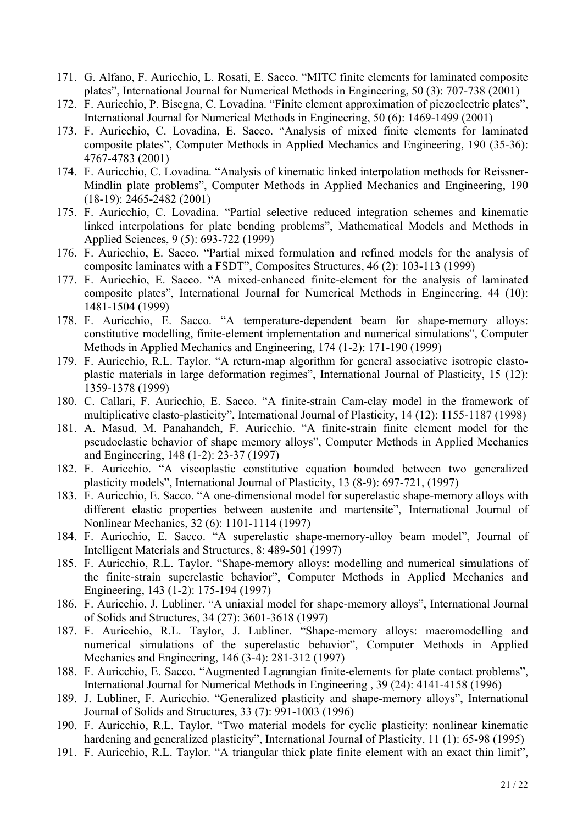- 171. G. Alfano, F. Auricchio, L. Rosati, E. Sacco. "MITC finite elements for laminated composite plates", International Journal for Numerical Methods in Engineering, 50 (3): 707-738 (2001)
- 172. F. Auricchio, P. Bisegna, C. Lovadina. "Finite element approximation of piezoelectric plates", International Journal for Numerical Methods in Engineering, 50 (6): 1469-1499 (2001)
- 173. F. Auricchio, C. Lovadina, E. Sacco. "Analysis of mixed finite elements for laminated composite plates", Computer Methods in Applied Mechanics and Engineering, 190 (35-36): 4767-4783 (2001)
- 174. F. Auricchio, C. Lovadina. "Analysis of kinematic linked interpolation methods for Reissner-Mindlin plate problems", Computer Methods in Applied Mechanics and Engineering, 190 (18-19): 2465-2482 (2001)
- 175. F. Auricchio, C. Lovadina. "Partial selective reduced integration schemes and kinematic linked interpolations for plate bending problems", Mathematical Models and Methods in Applied Sciences, 9 (5): 693-722 (1999)
- 176. F. Auricchio, E. Sacco. "Partial mixed formulation and refined models for the analysis of composite laminates with a FSDT", Composites Structures, 46 (2): 103-113 (1999)
- 177. F. Auricchio, E. Sacco. "A mixed-enhanced finite-element for the analysis of laminated composite plates", International Journal for Numerical Methods in Engineering, 44 (10): 1481-1504 (1999)
- 178. F. Auricchio, E. Sacco. "A temperature-dependent beam for shape-memory alloys: constitutive modelling, finite-element implementation and numerical simulations", Computer Methods in Applied Mechanics and Engineering, 174 (1-2): 171-190 (1999)
- 179. F. Auricchio, R.L. Taylor. "A return-map algorithm for general associative isotropic elastoplastic materials in large deformation regimes", International Journal of Plasticity, 15 (12): 1359-1378 (1999)
- 180. C. Callari, F. Auricchio, E. Sacco. "A finite-strain Cam-clay model in the framework of multiplicative elasto-plasticity", International Journal of Plasticity, 14 (12): 1155-1187 (1998)
- 181. A. Masud, M. Panahandeh, F. Auricchio. "A finite-strain finite element model for the pseudoelastic behavior of shape memory alloys", Computer Methods in Applied Mechanics and Engineering, 148 (1-2): 23-37 (1997)
- 182. F. Auricchio. "A viscoplastic constitutive equation bounded between two generalized plasticity models", International Journal of Plasticity, 13 (8-9): 697-721, (1997)
- 183. F. Auricchio, E. Sacco. "A one-dimensional model for superelastic shape-memory alloys with different elastic properties between austenite and martensite", International Journal of Nonlinear Mechanics, 32 (6): 1101-1114 (1997)
- 184. F. Auricchio, E. Sacco. "A superelastic shape-memory-alloy beam model", Journal of Intelligent Materials and Structures, 8: 489-501 (1997)
- 185. F. Auricchio, R.L. Taylor. "Shape-memory alloys: modelling and numerical simulations of the finite-strain superelastic behavior", Computer Methods in Applied Mechanics and Engineering, 143 (1-2): 175-194 (1997)
- 186. F. Auricchio, J. Lubliner. "A uniaxial model for shape-memory alloys", International Journal of Solids and Structures, 34 (27): 3601-3618 (1997)
- 187. F. Auricchio, R.L. Taylor, J. Lubliner. "Shape-memory alloys: macromodelling and numerical simulations of the superelastic behavior", Computer Methods in Applied Mechanics and Engineering, 146 (3-4): 281-312 (1997)
- 188. F. Auricchio, E. Sacco. "Augmented Lagrangian finite-elements for plate contact problems", International Journal for Numerical Methods in Engineering , 39 (24): 4141-4158 (1996)
- 189. J. Lubliner, F. Auricchio. "Generalized plasticity and shape-memory alloys", International Journal of Solids and Structures, 33 (7): 991-1003 (1996)
- 190. F. Auricchio, R.L. Taylor. "Two material models for cyclic plasticity: nonlinear kinematic hardening and generalized plasticity", International Journal of Plasticity, 11 (1): 65-98 (1995)
- 191. F. Auricchio, R.L. Taylor. "A triangular thick plate finite element with an exact thin limit",